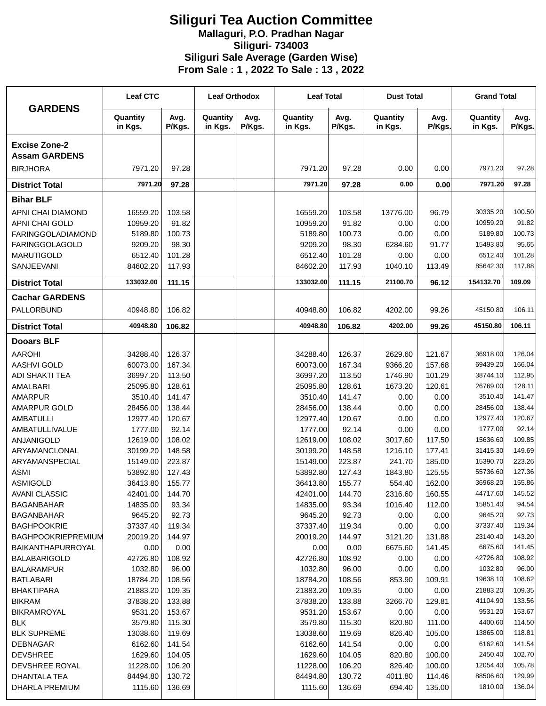## **Siliguri Tea Auction Committee Mallaguri, P.O. Pradhan Nagar Siliguri- 734003 Siliguri Sale Average (Garden Wise) From Sale : 1 , 2022 To Sale : 13 , 2022**

| <b>GARDENS</b>                               | <b>Leaf CTC</b>      |                  | <b>Leaf Orthodox</b> |                | <b>Leaf Total</b>    |                  | <b>Dust Total</b>   |                | <b>Grand Total</b>  |                 |
|----------------------------------------------|----------------------|------------------|----------------------|----------------|----------------------|------------------|---------------------|----------------|---------------------|-----------------|
|                                              | Quantity<br>in Kgs.  | Avg.<br>P/Kgs.   | Quantity<br>in Kgs.  | Avg.<br>P/Kgs. | Quantity<br>in Kgs.  | Avg.<br>P/Kgs.   | Quantity<br>in Kgs. | Avg.<br>P/Kgs. | Quantity<br>in Kgs. | Avg.<br>P/Kgs.  |
| <b>Excise Zone-2</b><br><b>Assam GARDENS</b> |                      |                  |                      |                |                      |                  |                     |                |                     |                 |
| <b>BIRJHORA</b>                              | 7971.20              | 97.28            |                      |                | 7971.20              | 97.28            | 0.00                | 0.00           | 7971.20             | 97.28           |
| <b>District Total</b>                        | 7971.20              | 97.28            |                      |                | 7971.20              | 97.28            | 0.00                | 0.00           | 7971.20             | 97.28           |
| <b>Bihar BLF</b>                             |                      |                  |                      |                |                      |                  |                     |                |                     |                 |
|                                              |                      |                  |                      |                | 16559.20             |                  |                     |                | 30335.20            | 100.50          |
| APNI CHAI DIAMOND<br>APNI CHAI GOLD          | 16559.20<br>10959.20 | 103.58<br>91.82  |                      |                | 10959.20             | 103.58<br>91.82  | 13776.00<br>0.00    | 96.79<br>0.00  | 10959.20            | 91.82           |
| <b>FARINGGOLADIAMOND</b>                     | 5189.80              | 100.73           |                      |                | 5189.80              | 100.73           | 0.00                | 0.00           | 5189.80             | 100.73          |
| <b>FARINGGOLAGOLD</b>                        | 9209.20              | 98.30            |                      |                | 9209.20              | 98.30            | 6284.60             | 91.77          | 15493.80            | 95.65           |
| <b>MARUTIGOLD</b>                            | 6512.40              | 101.28           |                      |                | 6512.40              | 101.28           | 0.00                | 0.00           | 6512.40             | 101.28          |
| <b>SANJEEVANI</b>                            | 84602.20             | 117.93           |                      |                | 84602.20             | 117.93           | 1040.10             | 113.49         | 85642.30            | 117.88          |
| <b>District Total</b>                        | 133032.00            | 111.15           |                      |                | 133032.00            | 111.15           | 21100.70            | 96.12          | 154132.70           | 109.09          |
| <b>Cachar GARDENS</b>                        |                      |                  |                      |                |                      |                  |                     |                |                     |                 |
| PALLORBUND                                   | 40948.80             | 106.82           |                      |                | 40948.80             | 106.82           | 4202.00             | 99.26          | 45150.80            | 106.11          |
| <b>District Total</b>                        | 40948.80             | 106.82           |                      |                | 40948.80             | 106.82           | 4202.00             | 99.26          | 45150.80            | 106.11          |
| <b>Dooars BLF</b>                            |                      |                  |                      |                |                      |                  |                     |                |                     |                 |
| <b>AAROHI</b>                                | 34288.40             | 126.37           |                      |                | 34288.40             | 126.37           | 2629.60             | 121.67         | 36918.00            | 126.04          |
| <b>AASHVI GOLD</b>                           | 60073.00             | 167.34           |                      |                | 60073.00             | 167.34           | 9366.20             | 157.68         | 69439.20            | 166.04          |
| <b>ADI SHAKTI TEA</b>                        | 36997.20             | 113.50           |                      |                | 36997.20             | 113.50           | 1746.90             | 101.29         | 38744.10            | 112.95          |
| AMALBARI                                     | 25095.80             | 128.61           |                      |                | 25095.80             | 128.61           | 1673.20             | 120.61         | 26769.00            | 128.11          |
| <b>AMARPUR</b>                               | 3510.40              | 141.47           |                      |                | 3510.40              | 141.47           | 0.00                | 0.00           | 3510.40             | 141.47          |
| AMARPUR GOLD                                 | 28456.00             | 138.44           |                      |                | 28456.00             | 138.44           | 0.00                | 0.00           | 28456.00            | 138.44          |
| <b>AMBATULLI</b>                             | 12977.40             | 120.67           |                      |                | 12977.40             | 120.67           | 0.00                | 0.00           | 12977.40            | 120.67          |
| <b>AMBATULLIVALUE</b>                        | 1777.00              | 92.14            |                      |                | 1777.00              | 92.14            | 0.00                | 0.00           | 1777.00             | 92.14           |
| <b>ANJANIGOLD</b>                            | 12619.00             | 108.02           |                      |                | 12619.00             | 108.02           | 3017.60             | 117.50         | 15636.60            | 109.85          |
| ARYAMANCLONAL                                | 30199.20             | 148.58           |                      |                | 30199.20             | 148.58           | 1216.10             | 177.41         | 31415.30            | 149.69          |
| ARYAMANSPECIAL                               | 15149.00             | 223.87           |                      |                | 15149.00             | 223.87           | 241.70              | 185.00         | 15390.70            | 223.26          |
| <b>ASMI</b>                                  | 53892.80             | 127.43           |                      |                | 53892.80             | 127.43           | 1843.80             | 125.55         | 55736.60            | 127.36          |
| <b>ASMIGOLD</b>                              | 36413.80             | 155.77           |                      |                | 36413.80             | 155.77           | 554.40              | 162.00         | 36968.20            | 155.86          |
| <b>AVANI CLASSIC</b>                         | 42401.00             | 144.70           |                      |                | 42401.00             | 144.70           | 2316.60             | 160.55         | 44717.60            | 145.52          |
| <b>BAGANBAHAR</b>                            | 14835.00             | 93.34            |                      |                | 14835.00             | 93.34            | 1016.40             | 112.00         | 15851.40            | 94.54           |
| <b>BAGANBAHAR</b>                            | 9645.20              | 92.73            |                      |                | 9645.20              | 92.73            | 0.00                | 0.00           | 9645.20             | 92.73           |
| <b>BAGHPOOKRIE</b>                           | 37337.40             | 119.34           |                      |                | 37337.40             | 119.34           | 0.00                | 0.00           | 37337.40            | 119.34          |
| <b>BAGHPOOKRIEPREMIUM</b>                    | 20019.20             | 144.97           |                      |                | 20019.20             | 144.97           | 3121.20             | 131.88         | 23140.40            | 143.20          |
| BAIKANTHAPURROYAL                            | 0.00                 | 0.00             |                      |                | 0.00                 | 0.00             | 6675.60             | 141.45         | 6675.60             | 141.45          |
| <b>BALABARIGOLD</b>                          | 42726.80             | 108.92           |                      |                | 42726.80             | 108.92           | 0.00                | 0.00           | 42726.80            | 108.92          |
| <b>BALARAMPUR</b>                            | 1032.80              | 96.00            |                      |                | 1032.80              | 96.00            | 0.00                | 0.00           | 1032.80<br>19638.10 | 96.00<br>108.62 |
| <b>BATLABARI</b>                             | 18784.20             | 108.56           |                      |                | 18784.20<br>21883.20 | 108.56           | 853.90              | 109.91         | 21883.20            | 109.35          |
| <b>BHAKTIPARA</b><br><b>BIKRAM</b>           | 21883.20<br>37838.20 | 109.35<br>133.88 |                      |                | 37838.20             | 109.35<br>133.88 | 0.00<br>3266.70     | 0.00<br>129.81 | 41104.90            | 133.56          |
| BIKRAMROYAL                                  | 9531.20              | 153.67           |                      |                | 9531.20              | 153.67           | 0.00                | 0.00           | 9531.20             | 153.67          |
| <b>BLK</b>                                   | 3579.80              | 115.30           |                      |                | 3579.80              | 115.30           | 820.80              | 111.00         | 4400.60             | 114.50          |
| <b>BLK SUPREME</b>                           | 13038.60             | 119.69           |                      |                | 13038.60             | 119.69           | 826.40              | 105.00         | 13865.00            | 118.81          |
| <b>DEBNAGAR</b>                              | 6162.60              | 141.54           |                      |                | 6162.60              | 141.54           | 0.00                | 0.00           | 6162.60             | 141.54          |
| <b>DEVSHREE</b>                              | 1629.60              | 104.05           |                      |                | 1629.60              | 104.05           | 820.80              | 100.00         | 2450.40             | 102.70          |
| DEVSHREE ROYAL                               | 11228.00             | 106.20           |                      |                | 11228.00             | 106.20           | 826.40              | 100.00         | 12054.40            | 105.78          |
| DHANTALA TEA                                 | 84494.80             | 130.72           |                      |                | 84494.80             | 130.72           | 4011.80             | 114.46         | 88506.60            | 129.99          |
| DHARLA PREMIUM                               | 1115.60              | 136.69           |                      |                | 1115.60              | 136.69           | 694.40              | 135.00         | 1810.00             | 136.04          |
|                                              |                      |                  |                      |                |                      |                  |                     |                |                     |                 |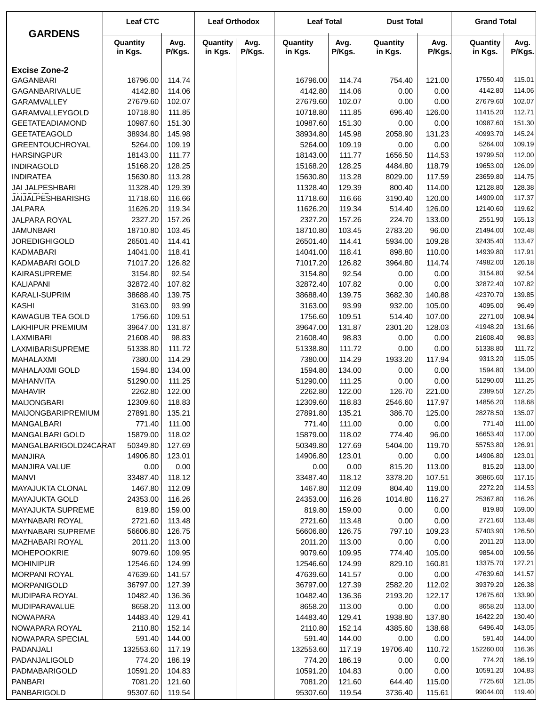|                                    | <b>Leaf CTC</b>     |                  | <b>Leaf Orthodox</b> |                | <b>Leaf Total</b>   |                  | <b>Dust Total</b>   |                | <b>Grand Total</b>  |                  |
|------------------------------------|---------------------|------------------|----------------------|----------------|---------------------|------------------|---------------------|----------------|---------------------|------------------|
| <b>GARDENS</b>                     | Quantity<br>in Kgs. | Avg.<br>P/Kgs.   | Quantity<br>in Kgs.  | Avg.<br>P/Kgs. | Quantity<br>in Kgs. | Avg.<br>P/Kgs.   | Quantity<br>in Kgs. | Avg.<br>P/Kgs. | Quantity<br>in Kgs. | Avg.<br>P/Kgs.   |
| <b>Excise Zone-2</b>               |                     |                  |                      |                |                     |                  |                     |                |                     |                  |
| <b>GAGANBARI</b>                   | 16796.00            | 114.74           |                      |                | 16796.00            | 114.74           | 754.40              | 121.00         | 17550.40            | 115.01           |
| GAGANBARIVALUE                     | 4142.80             | 114.06           |                      |                | 4142.80             | 114.06           | 0.00                | 0.00           | 4142.80             | 114.06           |
| GARAMVALLEY                        | 27679.60            | 102.07           |                      |                | 27679.60            | 102.07           | 0.00                | 0.00           | 27679.60            | 102.07           |
| GARAMVALLEYGOLD                    | 10718.80            | 111.85           |                      |                | 10718.80            | 111.85           | 696.40              | 126.00         | 11415.20            | 112.71           |
| <b>GEETATEADIAMOND</b>             | 10987.60            | 151.30           |                      |                | 10987.60            | 151.30           | 0.00                | 0.00           | 10987.60            | 151.30           |
| <b>GEETATEAGOLD</b>                | 38934.80            | 145.98           |                      |                | 38934.80            | 145.98           | 2058.90             | 131.23         | 40993.70            | 145.24           |
| <b>GREENTOUCHROYAL</b>             | 5264.00             | 109.19           |                      |                | 5264.00             | 109.19           | 0.00                | 0.00           | 5264.00             | 109.19           |
| <b>HARSINGPUR</b>                  | 18143.00            | 111.77           |                      |                | 18143.00            | 111.77           | 1656.50             | 114.53         | 19799.50            | 112.00           |
| <b>INDIRAGOLD</b>                  | 15168.20            | 128.25           |                      |                | 15168.20            | 128.25           | 4484.80             | 118.79         | 19653.00            | 126.09           |
| <b>INDIRATEA</b>                   | 15630.80            | 113.28           |                      |                | 15630.80            | 113.28           | 8029.00             | 117.59         | 23659.80            | 114.75           |
| JAI JALPESHBARI                    | 11328.40            | 129.39           |                      |                | 11328.40            | 129.39           | 800.40              | 114.00         | 12128.80            | 128.38           |
| JAIJALPESHBARISHG                  | 11718.60            | 116.66           |                      |                | 11718.60            | 116.66           | 3190.40             | 120.00         | 14909.00            | 117.37           |
| <b>JALPARA</b>                     | 11626.20            | 119.34           |                      |                | 11626.20            | 119.34           | 514.40              | 126.00         | 12140.60            | 119.62           |
| JALPARA ROYAL                      | 2327.20             | 157.26           |                      |                | 2327.20             | 157.26           | 224.70              | 133.00         | 2551.90             | 155.13           |
| <b>JAMUNBARI</b>                   | 18710.80            | 103.45           |                      |                | 18710.80            | 103.45           | 2783.20             | 96.00          | 21494.00            | 102.48           |
| <b>JOREDIGHIGOLD</b>               | 26501.40            | 114.41           |                      |                | 26501.40            | 114.41           | 5934.00             | 109.28         | 32435.40            | 113.47           |
| <b>KADMABARI</b>                   | 14041.00            | 118.41           |                      |                | 14041.00            | 118.41           | 898.80              | 110.00         | 14939.80            | 117.91           |
| KADMABARI GOLD                     | 71017.20            | 126.82           |                      |                | 71017.20            | 126.82           | 3964.80             | 114.74         | 74982.00            | 126.18           |
| KAIRASUPREME                       | 3154.80             | 92.54            |                      |                | 3154.80             | 92.54            | 0.00                | 0.00           | 3154.80             | 92.54            |
| <b>KALIAPANI</b>                   | 32872.40            | 107.82           |                      |                | 32872.40            | 107.82           | 0.00                | 0.00           | 32872.40            | 107.82           |
| <b>KARALI-SUPRIM</b>               | 38688.40            | 139.75           |                      |                | 38688.40            | 139.75           | 3682.30             | 140.88         | 42370.70            | 139.85           |
| <b>KASHI</b>                       | 3163.00             | 93.99            |                      |                | 3163.00             | 93.99            | 932.00              | 105.00         | 4095.00             | 96.49            |
| <b>KAWAGUB TEA GOLD</b>            | 1756.60             | 109.51           |                      |                | 1756.60             | 109.51           | 514.40              | 107.00         | 2271.00             | 108.94           |
| <b>LAKHIPUR PREMIUM</b>            | 39647.00            | 131.87           |                      |                | 39647.00            | 131.87           | 2301.20             | 128.03         | 41948.20            | 131.66           |
| <b>LAXMIBARI</b>                   | 21608.40            | 98.83            |                      |                | 21608.40            | 98.83            | 0.00                | 0.00           | 21608.40            | 98.83            |
| LAXMIBARISUPREME                   | 51338.80            | 111.72           |                      |                | 51338.80            | 111.72           | 0.00                | 0.00           | 51338.80            | 111.72           |
| MAHALAXMI                          | 7380.00<br>1594.80  | 114.29           |                      |                | 7380.00             | 114.29           | 1933.20             | 117.94         | 9313.20<br>1594.80  | 115.05<br>134.00 |
| <b>MAHALAXMI GOLD</b>              | 51290.00            | 134.00<br>111.25 |                      |                | 1594.80<br>51290.00 | 134.00<br>111.25 | 0.00                | 0.00<br>0.00   | 51290.00            | 111.25           |
| <b>MAHANVITA</b><br><b>MAHAVIR</b> | 2262.80             | 122.00           |                      |                | 2262.80             | 122.00           | 0.00<br>126.70      | 221.00         | 2389.50             | 127.25           |
| <b>MAIJONGBARI</b>                 | 12309.60            | 118.83           |                      |                | 12309.60            | 118.83           | 2546.60             | 117.97         | 14856.20            | 118.68           |
| MAIJONGBARIPREMIUM                 | 27891.80            | 135.21           |                      |                | 27891.80            | 135.21           | 386.70              | 125.00         | 28278.50            | 135.07           |
| MANGALBARI                         | 771.40              | 111.00           |                      |                | 771.40              | 111.00           | 0.00                | 0.00           | 771.40              | 111.00           |
| MANGALBARI GOLD                    | 15879.00            | 118.02           |                      |                | 15879.00            | 118.02           | 774.40              | 96.00          | 16653.40            | 117.00           |
| MANGALBARIGOLD24CARAT              | 50349.80            | 127.69           |                      |                | 50349.80            | 127.69           | 5404.00             | 119.70         | 55753.80            | 126.91           |
| <b>MANJIRA</b>                     | 14906.80            | 123.01           |                      |                | 14906.80            | 123.01           | 0.00                | 0.00           | 14906.80            | 123.01           |
| MANJIRA VALUE                      | 0.00                | 0.00             |                      |                | 0.00                | 0.00             | 815.20              | 113.00         | 815.20              | 113.00           |
| <b>MANVI</b>                       | 33487.40            | 118.12           |                      |                | 33487.40            | 118.12           | 3378.20             | 107.51         | 36865.60            | 117.15           |
| MAYAJUKTA CLONAL                   | 1467.80             | 112.09           |                      |                | 1467.80             | 112.09           | 804.40              | 119.00         | 2272.20             | 114.53           |
| <b>MAYAJUKTA GOLD</b>              | 24353.00            | 116.26           |                      |                | 24353.00            | 116.26           | 1014.80             | 116.27         | 25367.80            | 116.26           |
| <b>MAYAJUKTA SUPREME</b>           | 819.80              | 159.00           |                      |                | 819.80              | 159.00           | 0.00                | 0.00           | 819.80              | 159.00           |
| MAYNABARI ROYAL                    | 2721.60             | 113.48           |                      |                | 2721.60             | 113.48           | 0.00                | 0.00           | 2721.60             | 113.48           |
| <b>MAYNABARI SUPREME</b>           | 56606.80            | 126.75           |                      |                | 56606.80            | 126.75           | 797.10              | 109.23         | 57403.90            | 126.50           |
| MAZHABARI ROYAL                    | 2011.20             | 113.00           |                      |                | 2011.20             | 113.00           | 0.00                | 0.00           | 2011.20             | 113.00           |
| <b>MOHEPOOKRIE</b>                 | 9079.60             | 109.95           |                      |                | 9079.60             | 109.95           | 774.40              | 105.00         | 9854.00             | 109.56           |
| <b>MOHINIPUR</b>                   | 12546.60            | 124.99           |                      |                | 12546.60            | 124.99           | 829.10              | 160.81         | 13375.70            | 127.21           |
| <b>MORPANI ROYAL</b>               | 47639.60            | 141.57           |                      |                | 47639.60            | 141.57           | 0.00                | 0.00           | 47639.60            | 141.57           |
| <b>MORPANIGOLD</b>                 | 36797.00            | 127.39           |                      |                | 36797.00            | 127.39           | 2582.20             | 112.02         | 39379.20            | 126.38           |
| MUDIPARA ROYAL                     | 10482.40            | 136.36           |                      |                | 10482.40            | 136.36           | 2193.20             | 122.17         | 12675.60            | 133.90           |
| MUDIPARAVALUE                      | 8658.20             | 113.00           |                      |                | 8658.20             | 113.00           | 0.00                | 0.00           | 8658.20             | 113.00           |
| <b>NOWAPARA</b>                    | 14483.40            | 129.41           |                      |                | 14483.40            | 129.41           | 1938.80             | 137.80         | 16422.20            | 130.40           |
| NOWAPARA ROYAL                     | 2110.80             | 152.14           |                      |                | 2110.80             | 152.14           | 4385.60             | 138.68         | 6496.40             | 143.05           |
| NOWAPARA SPECIAL                   | 591.40              | 144.00           |                      |                | 591.40              | 144.00           | 0.00                | 0.00           | 591.40              | 144.00           |
| PADANJALI                          | 132553.60           | 117.19           |                      |                | 132553.60           | 117.19           | 19706.40            | 110.72         | 152260.00           | 116.36           |
| PADANJALIGOLD                      | 774.20              | 186.19           |                      |                | 774.20              | 186.19           | 0.00                | 0.00           | 774.20              | 186.19           |
| PADMABARIGOLD                      | 10591.20            | 104.83           |                      |                | 10591.20            | 104.83           | 0.00                | 0.00           | 10591.20            | 104.83           |
| <b>PANBARI</b>                     | 7081.20             | 121.60           |                      |                | 7081.20             | 121.60           | 644.40              | 115.00         | 7725.60             | 121.05           |
| PANBARIGOLD                        | 95307.60            | 119.54           |                      |                | 95307.60            | 119.54           | 3736.40             | 115.61         | 99044.00            | 119.40           |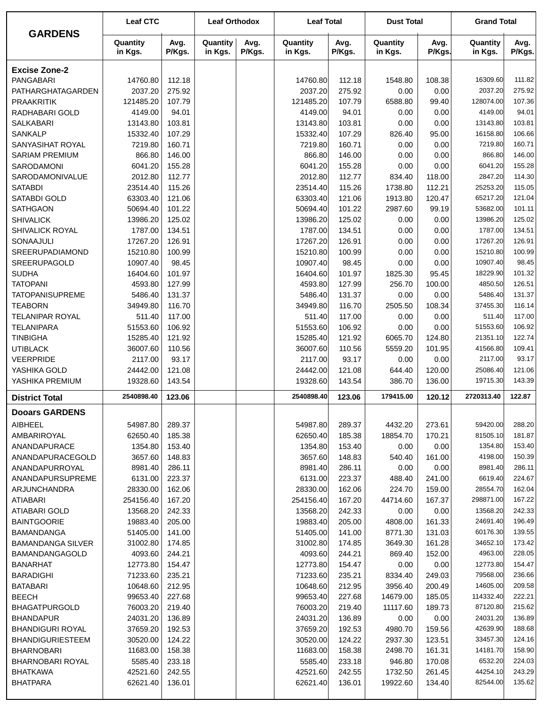| <b>GARDENS</b>                      | <b>Leaf CTC</b>     |                  | <b>Leaf Orthodox</b> |                | <b>Leaf Total</b>   |                  | <b>Dust Total</b>   |                  | <b>Grand Total</b>  |                  |
|-------------------------------------|---------------------|------------------|----------------------|----------------|---------------------|------------------|---------------------|------------------|---------------------|------------------|
|                                     | Quantity<br>in Kgs. | Avg.<br>P/Kgs.   | Quantity<br>in Kgs.  | Avg.<br>P/Kgs. | Quantity<br>in Kgs. | Avg.<br>P/Kgs.   | Quantity<br>in Kgs. | Avg.<br>P/Kgs.   | Quantity<br>in Kgs. | Avg.<br>P/Kgs.   |
| <b>Excise Zone-2</b>                |                     |                  |                      |                |                     |                  |                     |                  |                     |                  |
| PANGABARI                           | 14760.80            | 112.18           |                      |                | 14760.80            | 112.18           | 1548.80             | 108.38           | 16309.60            | 111.82           |
| PATHARGHATAGARDEN                   | 2037.20             | 275.92           |                      |                | 2037.20             | 275.92           | 0.00                | 0.00             | 2037.20             | 275.92           |
| <b>PRAAKRITIK</b>                   | 121485.20           | 107.79           |                      |                | 121485.20           | 107.79           | 6588.80             | 99.40            | 128074.00           | 107.36           |
| RADHABARI GOLD                      | 4149.00             | 94.01            |                      |                | 4149.00             | 94.01            | 0.00                | 0.00             | 4149.00             | 94.01            |
| <b>SALKABARI</b>                    | 13143.80            | 103.81           |                      |                | 13143.80            | 103.81           | 0.00                | 0.00             | 13143.80            | 103.81           |
| <b>SANKALP</b>                      | 15332.40            | 107.29           |                      |                | 15332.40            | 107.29           | 826.40              | 95.00            | 16158.80            | 106.66           |
| SANYASIHAT ROYAL                    | 7219.80             | 160.71           |                      |                | 7219.80             | 160.71           | 0.00                | 0.00             | 7219.80             | 160.71           |
| <b>SARIAM PREMIUM</b>               | 866.80              | 146.00           |                      |                | 866.80              | 146.00           | 0.00                | 0.00             | 866.80              | 146.00           |
| <b>SARODAMONI</b>                   | 6041.20             | 155.28           |                      |                | 6041.20             | 155.28           | 0.00                | 0.00             | 6041.20             | 155.28           |
| SARODAMONIVALUE                     | 2012.80             | 112.77           |                      |                | 2012.80             | 112.77           | 834.40              | 118.00           | 2847.20             | 114.30           |
| <b>SATABDI</b>                      | 23514.40            | 115.26           |                      |                | 23514.40            | 115.26           | 1738.80             | 112.21           | 25253.20            | 115.05           |
| SATABDI GOLD                        | 63303.40            | 121.06           |                      |                | 63303.40            | 121.06           | 1913.80             | 120.47           | 65217.20            | 121.04           |
| <b>SATHGAON</b>                     | 50694.40            | 101.22           |                      |                | 50694.40            | 101.22           | 2987.60             | 99.19            | 53682.00            | 101.11           |
| <b>SHIVALICK</b>                    | 13986.20            | 125.02           |                      |                | 13986.20            | 125.02           | 0.00                | 0.00             | 13986.20            | 125.02           |
| SHIVALICK ROYAL                     | 1787.00             | 134.51           |                      |                | 1787.00             | 134.51           | 0.00                | 0.00             | 1787.00             | 134.51           |
| SONAAJULI                           | 17267.20            | 126.91           |                      |                | 17267.20            | 126.91           | 0.00                | 0.00             | 17267.20            | 126.91           |
| SREERUPADIAMOND                     | 15210.80            | 100.99           |                      |                | 15210.80            | 100.99           | 0.00                | 0.00             | 15210.80            | 100.99           |
| SREERUPAGOLD                        | 10907.40            | 98.45            |                      |                | 10907.40            | 98.45            | 0.00                | 0.00             | 10907.40            | 98.45            |
| <b>SUDHA</b>                        | 16404.60            | 101.97           |                      |                | 16404.60            | 101.97           | 1825.30             | 95.45            | 18229.90            | 101.32           |
| <b>TATOPANI</b>                     | 4593.80             | 127.99           |                      |                | 4593.80             | 127.99           | 256.70              | 100.00           | 4850.50             | 126.51           |
| <b>TATOPANISUPREME</b>              | 5486.40             | 131.37           |                      |                | 5486.40             | 131.37           | 0.00                | 0.00             | 5486.40             | 131.37           |
| <b>TEABORN</b>                      | 34949.80            | 116.70           |                      |                | 34949.80            | 116.70           | 2505.50             | 108.34           | 37455.30            | 116.14           |
| <b>TELANIPAR ROYAL</b>              | 511.40              | 117.00           |                      |                | 511.40              | 117.00           | 0.00                | 0.00             | 511.40              | 117.00           |
| <b>TELANIPARA</b>                   | 51553.60            | 106.92           |                      |                | 51553.60            | 106.92           | 0.00                | 0.00             | 51553.60            | 106.92           |
| <b>TINBIGHA</b>                     | 15285.40            | 121.92           |                      |                | 15285.40            | 121.92           | 6065.70             | 124.80           | 21351.10            | 122.74           |
| <b>UTIBLACK</b>                     | 36007.60            | 110.56           |                      |                | 36007.60            | 110.56           | 5559.20             | 101.95           | 41566.80            | 109.41           |
| <b>VEERPRIDE</b>                    | 2117.00             | 93.17            |                      |                | 2117.00             | 93.17            | 0.00                | 0.00             | 2117.00<br>25086.40 | 93.17            |
| YASHIKA GOLD                        | 24442.00            | 121.08           |                      |                | 24442.00            | 121.08           | 644.40              | 120.00           | 19715.30            | 121.06<br>143.39 |
| YASHIKA PREMIUM                     | 19328.60            | 143.54           |                      |                | 19328.60            | 143.54           | 386.70              | 136.00           |                     |                  |
| <b>District Total</b>               | 2540898.40          | 123.06           |                      |                | 2540898.40          | 123.06           | 179415.00           | 120.12           | 2720313.40          | 122.87           |
| <b>Dooars GARDENS</b>               |                     |                  |                      |                |                     |                  |                     |                  |                     |                  |
| AIBHEEL                             | 54987.80            | 289.37           |                      |                | 54987.80            | 289.37           | 4432.20             | 273.61           | 59420.00            | 288.20           |
| AMBARIROYAL                         | 62650.40            | 185.38           |                      |                | 62650.40            | 185.38           | 18854.70            | 170.21           | 81505.10            | 181.87           |
| ANANDAPURACE                        | 1354.80             | 153.40           |                      |                | 1354.80             | 153.40           | 0.00                | 0.00             | 1354.80             | 153.40           |
| ANANDAPURACEGOLD                    | 3657.60             | 148.83           |                      |                | 3657.60             | 148.83           | 540.40              | 161.00           | 4198.00             | 150.39           |
| ANANDAPURROYAL                      | 8981.40             | 286.11           |                      |                | 8981.40             | 286.11           | 0.00                | 0.00             | 8981.40             | 286.11           |
| ANANDAPURSUPREME                    | 6131.00             | 223.37           |                      |                | 6131.00             | 223.37           | 488.40              | 241.00           | 6619.40             | 224.67           |
| ARJUNCHANDRA                        | 28330.00            | 162.06           |                      |                | 28330.00            | 162.06           | 224.70              | 159.00           | 28554.70            | 162.04           |
| <b>ATIABARI</b>                     | 254156.40           | 167.20           |                      |                | 254156.40           | 167.20           | 44714.60            | 167.37           | 298871.00           | 167.22           |
| ATIABARI GOLD                       | 13568.20            | 242.33           |                      |                | 13568.20            | 242.33           | 0.00                | 0.00             | 13568.20            | 242.33           |
| <b>BAINTGOORIE</b>                  | 19883.40            | 205.00           |                      |                | 19883.40            | 205.00           | 4808.00             | 161.33           | 24691.40            | 196.49           |
| <b>BAMANDANGA</b>                   | 51405.00            | 141.00           |                      |                | 51405.00            | 141.00           | 8771.30             | 131.03           | 60176.30            | 139.55           |
| <b>BAMANDANGA SILVER</b>            | 31002.80            | 174.85           |                      |                | 31002.80            | 174.85           | 3649.30             | 161.28           | 34652.10            | 173.42           |
| <b>BAMANDANGAGOLD</b>               | 4093.60             | 244.21           |                      |                | 4093.60             | 244.21           | 869.40              | 152.00           | 4963.00             | 228.05           |
| <b>BANARHAT</b>                     | 12773.80            | 154.47           |                      |                | 12773.80            | 154.47           | 0.00                | 0.00             | 12773.80            | 154.47           |
| <b>BARADIGHI</b>                    | 71233.60            | 235.21           |                      |                | 71233.60            | 235.21           | 8334.40             | 249.03           | 79568.00            | 236.66           |
| <b>BATABARI</b>                     | 10648.60            | 212.95           |                      |                | 10648.60            | 212.95           | 3956.40             | 200.49           | 14605.00            | 209.58           |
| <b>BEECH</b>                        | 99653.40            | 227.68           |                      |                | 99653.40            | 227.68           | 14679.00            | 185.05           | 114332.40           | 222.21           |
| <b>BHAGATPURGOLD</b>                | 76003.20            | 219.40           |                      |                | 76003.20            | 219.40           | 11117.60            | 189.73           | 87120.80            | 215.62           |
| <b>BHANDAPUR</b>                    | 24031.20            | 136.89           |                      |                | 24031.20            | 136.89           | 0.00                | 0.00             | 24031.20            | 136.89           |
| <b>BHANDIGURI ROYAL</b>             | 37659.20            | 192.53           |                      |                | 37659.20            | 192.53           | 4980.70             | 159.56           | 42639.90            | 188.68           |
| <b>BHANDIGURIESTEEM</b>             | 30520.00            | 124.22           |                      |                | 30520.00            | 124.22           | 2937.30             | 123.51           | 33457.30            | 124.16           |
| <b>BHARNOBARI</b>                   | 11683.00            | 158.38           |                      |                | 11683.00            | 158.38           | 2498.70             | 161.31           | 14181.70<br>6532.20 | 158.90<br>224.03 |
| BHARNOBARI ROYAL<br><b>BHATKAWA</b> | 5585.40<br>42521.60 | 233.18<br>242.55 |                      |                | 5585.40<br>42521.60 | 233.18<br>242.55 | 946.80<br>1732.50   | 170.08<br>261.45 | 44254.10            | 243.29           |
| <b>BHATPARA</b>                     | 62621.40            | 136.01           |                      |                | 62621.40            | 136.01           | 19922.60            | 134.40           | 82544.00            | 135.62           |
|                                     |                     |                  |                      |                |                     |                  |                     |                  |                     |                  |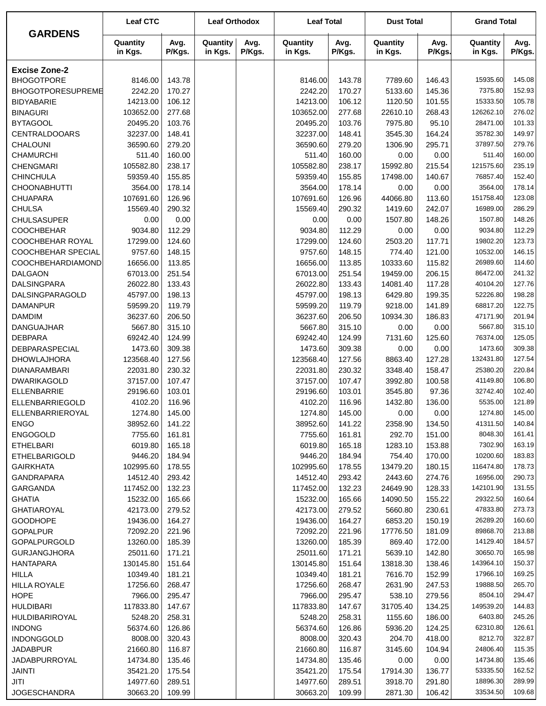|                                          | <b>Leaf CTC</b>     |                  | <b>Leaf Orthodox</b> |                | <b>Leaf Total</b>   |                  | <b>Dust Total</b>   |                  | <b>Grand Total</b>  |                  |
|------------------------------------------|---------------------|------------------|----------------------|----------------|---------------------|------------------|---------------------|------------------|---------------------|------------------|
| <b>GARDENS</b>                           | Quantity<br>in Kgs. | Avg.<br>P/Kgs.   | Quantity<br>in Kgs.  | Avg.<br>P/Kgs. | Quantity<br>in Kgs. | Avg.<br>P/Kgs.   | Quantity<br>in Kgs. | Avg.<br>P/Kgs.   | Quantity<br>in Kgs. | Avg.<br>P/Kgs.   |
| <b>Excise Zone-2</b>                     |                     |                  |                      |                |                     |                  |                     |                  |                     |                  |
| <b>BHOGOTPORE</b>                        | 8146.00             | 143.78           |                      |                | 8146.00             | 143.78           | 7789.60             | 146.43           | 15935.60            | 145.08           |
| BHOGOTPORESUPREME                        | 2242.20             | 170.27           |                      |                | 2242.20             | 170.27           | 5133.60             | 145.36           | 7375.80             | 152.93           |
| <b>BIDYABARIE</b>                        | 14213.00            | 106.12           |                      |                | 14213.00            | 106.12           | 1120.50             | 101.55           | 15333.50            | 105.78           |
| <b>BINAGURI</b>                          | 103652.00           | 277.68           |                      |                | 103652.00           | 277.68           | 22610.10            | 268.43           | 126262.10           | 276.02           |
| <b>BYTAGOOL</b>                          | 20495.20            | 103.76           |                      |                | 20495.20            | 103.76           | 7975.80             | 95.10            | 28471.00            | 101.33           |
| <b>CENTRALDOOARS</b>                     | 32237.00            | 148.41           |                      |                | 32237.00            | 148.41           | 3545.30             | 164.24           | 35782.30            | 149.97           |
| CHALOUNI                                 | 36590.60            | 279.20           |                      |                | 36590.60            | 279.20           | 1306.90             | 295.71           | 37897.50            | 279.76           |
| <b>CHAMURCHI</b>                         | 511.40              | 160.00           |                      |                | 511.40              | 160.00           | 0.00                | 0.00             | 511.40              | 160.00           |
| <b>CHENGMARI</b>                         | 105582.80           | 238.17           |                      |                | 105582.80           | 238.17           | 15992.80            | 215.54           | 121575.60           | 235.19           |
| <b>CHINCHULA</b>                         | 59359.40            | 155.85           |                      |                | 59359.40            | 155.85           | 17498.00            | 140.67           | 76857.40            | 152.40           |
| <b>CHOONABHUTTI</b>                      | 3564.00             | 178.14           |                      |                | 3564.00             | 178.14           | 0.00                | 0.00             | 3564.00             | 178.14           |
| <b>CHUAPARA</b>                          | 107691.60           | 126.96           |                      |                | 107691.60           | 126.96           | 44066.80            | 113.60           | 151758.40           | 123.08           |
| <b>CHULSA</b>                            | 15569.40            | 290.32           |                      |                | 15569.40            | 290.32           | 1419.60             | 242.07           | 16989.00            | 286.29           |
| <b>CHULSASUPER</b>                       | 0.00                | 0.00             |                      |                | 0.00                | 0.00             | 1507.80             | 148.26           | 1507.80             | 148.26           |
| <b>COOCHBEHAR</b>                        | 9034.80             | 112.29           |                      |                | 9034.80             | 112.29           | 0.00                | 0.00             | 9034.80             | 112.29           |
| COOCHBEHAR ROYAL                         | 17299.00            | 124.60           |                      |                | 17299.00            | 124.60           | 2503.20             | 117.71           | 19802.20            | 123.73           |
| <b>COOCHBEHAR SPECIAL</b>                | 9757.60             | 148.15           |                      |                | 9757.60             | 148.15           | 774.40              | 121.00           | 10532.00            | 146.15           |
| COOCHBEHARDIAMOND                        | 16656.00            | 113.85           |                      |                | 16656.00            | 113.85           | 10333.60            | 115.82           | 26989.60            | 114.60           |
| <b>DALGAON</b>                           | 67013.00            | 251.54           |                      |                | 67013.00            | 251.54           | 19459.00            | 206.15           | 86472.00            | 241.32           |
| <b>DALSINGPARA</b>                       | 26022.80            | 133.43           |                      |                | 26022.80            | 133.43           | 14081.40            | 117.28           | 40104.20            | 127.76           |
| DALSINGPARAGOLD                          | 45797.00            | 198.13           |                      |                | 45797.00            | 198.13           | 6429.80             | 199.35           | 52226.80            | 198.28           |
| <b>DAMANPUR</b>                          | 59599.20            | 119.79           |                      |                | 59599.20            | 119.79           | 9218.00             | 141.89           | 68817.20            | 122.75           |
| <b>DAMDIM</b>                            | 36237.60            | 206.50           |                      |                | 36237.60            | 206.50           | 10934.30            | 186.83           | 47171.90            | 201.94           |
| <b>DANGUAJHAR</b>                        | 5667.80             | 315.10           |                      |                | 5667.80             | 315.10           | 0.00                | 0.00             | 5667.80             | 315.10           |
| <b>DEBPARA</b>                           | 69242.40            | 124.99           |                      |                | 69242.40            | 124.99           | 7131.60             | 125.60           | 76374.00            | 125.05           |
| DEBPARASPECIAL                           | 1473.60             | 309.38           |                      |                | 1473.60             | 309.38           | 0.00                | 0.00             | 1473.60             | 309.38           |
| <b>DHOWLAJHORA</b>                       | 123568.40           | 127.56           |                      |                | 123568.40           | 127.56           | 8863.40             | 127.28           | 132431.80           | 127.54           |
| DIANARAMBARI                             | 22031.80            | 230.32           |                      |                | 22031.80            | 230.32           | 3348.40             | 158.47           | 25380.20            | 220.84           |
| <b>DWARIKAGOLD</b>                       | 37157.00            | 107.47           |                      |                | 37157.00            | 107.47           | 3992.80             | 100.58           | 41149.80            | 106.80           |
| ELLENBARRIE                              | 29196.60            | 103.01           |                      |                | 29196.60            | 103.01           | 3545.80             | 97.36            | 32742.40            | 102.40           |
| ELLENBARRIEGOLD                          | 4102.20             | 116.96           |                      |                | 4102.20             | 116.96           | 1432.80             | 136.00           | 5535.00             | 121.89           |
| ELLENBARRIEROYAL                         | 1274.80             | 145.00           |                      |                | 1274.80             | 145.00           | 0.00                | 0.00             | 1274.80             | 145.00           |
| <b>ENGO</b><br><b>ENGOGOLD</b>           | 38952.60            | 141.22           |                      |                | 38952.60            | 141.22           | 2358.90             | 134.50           | 41311.50<br>8048.30 | 140.84           |
|                                          | 7755.60             | 161.81           |                      |                | 7755.60             | 161.81           | 292.70              | 151.00           | 7302.90             | 161.41<br>163.19 |
| <b>ETHELBARI</b><br><b>ETHELBARIGOLD</b> | 6019.80<br>9446.20  | 165.18<br>184.94 |                      |                | 6019.80<br>9446.20  | 165.18<br>184.94 | 1283.10<br>754.40   | 153.88<br>170.00 | 10200.60            | 183.83           |
| <b>GAIRKHATA</b>                         | 102995.60           | 178.55           |                      |                | 102995.60           | 178.55           | 13479.20            | 180.15           | 116474.80           | 178.73           |
| <b>GANDRAPARA</b>                        | 14512.40            | 293.42           |                      |                | 14512.40            | 293.42           | 2443.60             | 274.76           | 16956.00            | 290.73           |
| GARGANDA                                 | 117452.00           | 132.23           |                      |                | 117452.00           | 132.23           | 24649.90            | 128.33           | 142101.90           | 131.55           |
| <b>GHATIA</b>                            | 15232.00            | 165.66           |                      |                | 15232.00            | 165.66           | 14090.50            | 155.22           | 29322.50            | 160.64           |
| <b>GHATIAROYAL</b>                       | 42173.00            | 279.52           |                      |                | 42173.00            | 279.52           | 5660.80             | 230.61           | 47833.80            | 273.73           |
| <b>GOODHOPE</b>                          | 19436.00            | 164.27           |                      |                | 19436.00            | 164.27           | 6853.20             | 150.19           | 26289.20            | 160.60           |
| <b>GOPALPUR</b>                          | 72092.20            | 221.96           |                      |                | 72092.20            | 221.96           | 17776.50            | 181.09           | 89868.70            | 213.88           |
| <b>GOPALPURGOLD</b>                      | 13260.00            | 185.39           |                      |                | 13260.00            | 185.39           | 869.40              | 172.00           | 14129.40            | 184.57           |
| <b>GURJANGJHORA</b>                      | 25011.60            | 171.21           |                      |                | 25011.60            | 171.21           | 5639.10             | 142.80           | 30650.70            | 165.98           |
| <b>HANTAPARA</b>                         | 130145.80           | 151.64           |                      |                | 130145.80           | 151.64           | 13818.30            | 138.46           | 143964.10           | 150.37           |
| <b>HILLA</b>                             | 10349.40            | 181.21           |                      |                | 10349.40            | 181.21           | 7616.70             | 152.99           | 17966.10            | 169.25           |
| <b>HILLA ROYALE</b>                      | 17256.60            | 268.47           |                      |                | 17256.60            | 268.47           | 2631.90             | 247.53           | 19888.50            | 265.70           |
| <b>HOPE</b>                              | 7966.00             | 295.47           |                      |                | 7966.00             | 295.47           | 538.10              | 279.56           | 8504.10             | 294.47           |
| <b>HULDIBARI</b>                         | 117833.80           | 147.67           |                      |                | 117833.80           | 147.67           | 31705.40            | 134.25           | 149539.20           | 144.83           |
| HULDIBARIROYAL                           | 5248.20             | 258.31           |                      |                | 5248.20             | 258.31           | 1155.60             | 186.00           | 6403.80             | 245.26           |
| <b>INDONG</b>                            | 56374.60            | 126.86           |                      |                | 56374.60            | 126.86           | 5936.20             | 124.25           | 62310.80            | 126.61           |
| <b>INDONGGOLD</b>                        | 8008.00             | 320.43           |                      |                | 8008.00             | 320.43           | 204.70              | 418.00           | 8212.70             | 322.87           |
| <b>JADABPUR</b>                          | 21660.80            | 116.87           |                      |                | 21660.80            | 116.87           | 3145.60             | 104.94           | 24806.40            | 115.35           |
| JADABPURROYAL                            | 14734.80            | 135.46           |                      |                | 14734.80            | 135.46           | 0.00                | 0.00             | 14734.80            | 135.46           |
| <b>JAINTI</b>                            | 35421.20            | 175.54           |                      |                | 35421.20            | 175.54           | 17914.30            | 136.77           | 53335.50            | 162.52           |
| JITI                                     | 14977.60            | 289.51           |                      |                | 14977.60            | 289.51           | 3918.70             | 291.80           | 18896.30            | 289.99           |
| <b>JOGESCHANDRA</b>                      | 30663.20            | 109.99           |                      |                | 30663.20            | 109.99           | 2871.30             | 106.42           | 33534.50            | 109.68           |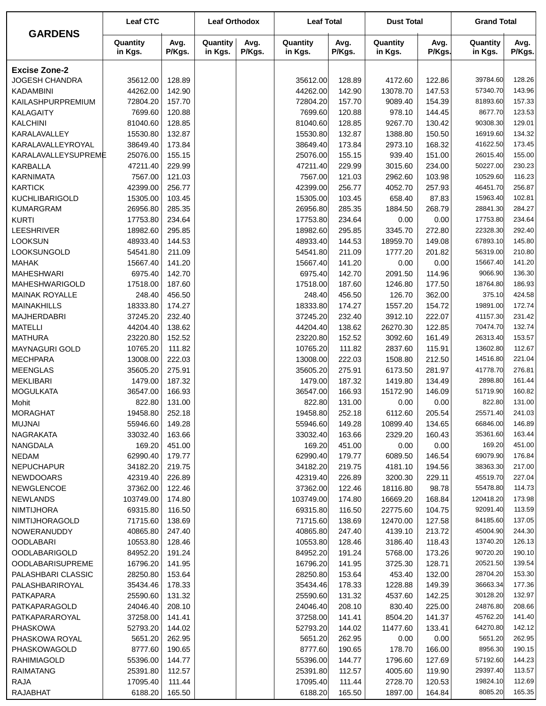| <b>GARDENS</b>                      | <b>Leaf CTC</b>      |                  | <b>Leaf Orthodox</b> |                | <b>Leaf Total</b>    |                  | <b>Dust Total</b>   |                  | <b>Grand Total</b>   |                  |
|-------------------------------------|----------------------|------------------|----------------------|----------------|----------------------|------------------|---------------------|------------------|----------------------|------------------|
|                                     | Quantity<br>in Kgs.  | Avg.<br>P/Kgs.   | Quantity<br>in Kgs.  | Avg.<br>P/Kgs. | Quantity<br>in Kgs.  | Avg.<br>P/Kgs.   | Quantity<br>in Kgs. | Avg.<br>P/Kgs.   | Quantity<br>in Kgs.  | Avg.<br>P/Kgs.   |
| <b>Excise Zone-2</b>                |                      |                  |                      |                |                      |                  |                     |                  |                      |                  |
| <b>JOGESH CHANDRA</b>               | 35612.00             | 128.89           |                      |                | 35612.00             | 128.89           | 4172.60             | 122.86           | 39784.60             | 128.26           |
| <b>KADAMBINI</b>                    | 44262.00             | 142.90           |                      |                | 44262.00             | 142.90           | 13078.70            | 147.53           | 57340.70             | 143.96           |
| KAILASHPURPREMIUM                   | 72804.20             | 157.70           |                      |                | 72804.20             | 157.70           | 9089.40             | 154.39           | 81893.60             | 157.33           |
| <b>KALAGAITY</b>                    | 7699.60              | 120.88           |                      |                | 7699.60              | 120.88           | 978.10              | 144.45           | 8677.70              | 123.53           |
| <b>KALCHINI</b>                     | 81040.60             | 128.85           |                      |                | 81040.60             | 128.85           | 9267.70             | 130.42           | 90308.30             | 129.01           |
| KARALAVALLEY                        | 15530.80             | 132.87           |                      |                | 15530.80             | 132.87           | 1388.80             | 150.50           | 16919.60             | 134.32           |
| KARALAVALLEYROYAL                   | 38649.40             | 173.84           |                      |                | 38649.40             | 173.84           | 2973.10             | 168.32           | 41622.50             | 173.45           |
| KARALAVALLEYSUPREME                 | 25076.00             | 155.15           |                      |                | 25076.00             | 155.15           | 939.40              | 151.00           | 26015.40             | 155.00           |
| <b>KARBALLA</b>                     | 47211.40             | 229.99           |                      |                | 47211.40             | 229.99           | 3015.60             | 234.00           | 50227.00             | 230.23           |
| <b>KARNIMATA</b>                    | 7567.00              | 121.03           |                      |                | 7567.00              | 121.03           | 2962.60             | 103.98           | 10529.60             | 116.23           |
| <b>KARTICK</b>                      | 42399.00             | 256.77           |                      |                | 42399.00             | 256.77           | 4052.70             | 257.93           | 46451.70             | 256.87           |
| <b>KUCHLIBARIGOLD</b>               | 15305.00             | 103.45           |                      |                | 15305.00             | 103.45           | 658.40              | 87.83            | 15963.40             | 102.81           |
| <b>KUMARGRAM</b>                    | 26956.80             | 285.35           |                      |                | 26956.80             | 285.35           | 1884.50             | 268.79           | 28841.30             | 284.27           |
| <b>KURTI</b>                        | 17753.80             | 234.64           |                      |                | 17753.80             | 234.64           | 0.00                | 0.00             | 17753.80             | 234.64           |
| <b>LEESHRIVER</b>                   | 18982.60             | 295.85           |                      |                | 18982.60             | 295.85           | 3345.70             | 272.80           | 22328.30             | 292.40           |
| <b>LOOKSUN</b>                      | 48933.40             | 144.53           |                      |                | 48933.40             | 144.53           | 18959.70            | 149.08           | 67893.10             | 145.80           |
| LOOKSUNGOLD                         | 54541.80             | 211.09           |                      |                | 54541.80             | 211.09           | 1777.20             | 201.82           | 56319.00             | 210.80           |
| <b>MAHAK</b>                        | 15667.40             | 141.20           |                      |                | 15667.40             | 141.20           | 0.00                | 0.00             | 15667.40<br>9066.90  | 141.20<br>136.30 |
| <b>MAHESHWARI</b><br>MAHESHWARIGOLD | 6975.40<br>17518.00  | 142.70<br>187.60 |                      |                | 6975.40<br>17518.00  | 142.70<br>187.60 | 2091.50<br>1246.80  | 114.96<br>177.50 | 18764.80             | 186.93           |
| <b>MAINAK ROYALLE</b>               | 248.40               | 456.50           |                      |                | 248.40               | 456.50           | 126.70              | 362.00           | 375.10               | 424.58           |
| <b>MAINAKHILLS</b>                  | 18333.80             | 174.27           |                      |                | 18333.80             | 174.27           | 1557.20             | 154.72           | 19891.00             | 172.74           |
| <b>MAJHERDABRI</b>                  | 37245.20             | 232.40           |                      |                | 37245.20             | 232.40           | 3912.10             | 222.07           | 41157.30             | 231.42           |
| <b>MATELLI</b>                      | 44204.40             | 138.62           |                      |                | 44204.40             | 138.62           | 26270.30            | 122.85           | 70474.70             | 132.74           |
| <b>MATHURA</b>                      | 23220.80             | 152.52           |                      |                | 23220.80             | 152.52           | 3092.60             | 161.49           | 26313.40             | 153.57           |
| MAYNAGURI GOLD                      | 10765.20             | 111.82           |                      |                | 10765.20             | 111.82           | 2837.60             | 115.91           | 13602.80             | 112.67           |
| <b>MECHPARA</b>                     | 13008.00             | 222.03           |                      |                | 13008.00             | 222.03           | 1508.80             | 212.50           | 14516.80             | 221.04           |
| <b>MEENGLAS</b>                     | 35605.20             | 275.91           |                      |                | 35605.20             | 275.91           | 6173.50             | 281.97           | 41778.70             | 276.81           |
| <b>MEKLIBARI</b>                    | 1479.00              | 187.32           |                      |                | 1479.00              | 187.32           | 1419.80             | 134.49           | 2898.80              | 161.44           |
| <b>MOGULKATA</b>                    | 36547.00             | 166.93           |                      |                | 36547.00             | 166.93           | 15172.90            | 146.09           | 51719.90             | 160.82           |
| Mohit                               | 822.80               | 131.00           |                      |                | 822.80               | 131.00           | 0.00                | 0.00             | 822.80               | 131.00           |
| <b>MORAGHAT</b>                     | 19458.80             | 252.18           |                      |                | 19458.80             | 252.18           | 6112.60             | 205.54           | 25571.40             | 241.03           |
| <b>MUJNAI</b>                       | 55946.60             | 149.28           |                      |                | 55946.60             | 149.28           | 10899.40            | 134.65           | 66846.00             | 146.89           |
| NAGRAKATA                           | 33032.40             | 163.66           |                      |                | 33032.40             | 163.66           | 2329.20             | 160.43           | 35361.60             | 163.44           |
| NANGDALA                            | 169.20               | 451.00           |                      |                | 169.20               | 451.00           | 0.00                | 0.00             | 169.20               | 451.00           |
| <b>NEDAM</b>                        | 62990.40             | 179.77           |                      |                | 62990.40             | 179.77           | 6089.50             | 146.54           | 69079.90             | 176.84           |
| <b>NEPUCHAPUR</b>                   | 34182.20             | 219.75           |                      |                | 34182.20             | 219.75           | 4181.10             | 194.56           | 38363.30             | 217.00           |
| NEWDOOARS                           | 42319.40             | 226.89           |                      |                | 42319.40             | 226.89           | 3200.30             | 229.11           | 45519.70             | 227.04           |
| NEWGLENCOE                          | 37362.00             | 122.46           |                      |                | 37362.00             | 122.46           | 18116.80            | 98.78            | 55478.80             | 114.73           |
| <b>NEWLANDS</b>                     | 103749.00            | 174.80           |                      |                | 103749.00            | 174.80           | 16669.20            | 168.84           | 120418.20            | 173.98           |
| <b>NIMTIJHORA</b>                   | 69315.80             | 116.50           |                      |                | 69315.80             | 116.50           | 22775.60            | 104.75           | 92091.40             | 113.59           |
| NIMTIJHORAGOLD                      | 71715.60             | 138.69           |                      |                | 71715.60             | 138.69           | 12470.00            | 127.58           | 84185.60             | 137.05           |
| NOWERANUDDY                         | 40865.80             | 247.40           |                      |                | 40865.80             | 247.40           | 4139.10             | 213.72           | 45004.90             | 244.30           |
| <b>OODLABARI</b>                    | 10553.80             | 128.46           |                      |                | 10553.80             | 128.46           | 3186.40             | 118.43           | 13740.20             | 126.13           |
| OODLABARIGOLD                       | 84952.20             | 191.24           |                      |                | 84952.20             | 191.24           | 5768.00             | 173.26           | 90720.20             | 190.10           |
| <b>OODLABARISUPREME</b>             | 16796.20             | 141.95           |                      |                | 16796.20             | 141.95           | 3725.30             | 128.71           | 20521.50             | 139.54           |
| PALASHBARI CLASSIC                  | 28250.80             | 153.64           |                      |                | 28250.80             | 153.64           | 453.40              | 132.00           | 28704.20<br>36663.34 | 153.30<br>177.36 |
| PALASHBARIROYAL                     | 35434.46             | 178.33           |                      |                | 35434.46             | 178.33           | 1228.88             | 149.39           | 30128.20             | 132.97           |
| PATKAPARA<br>PATKAPARAGOLD          | 25590.60<br>24046.40 | 131.32<br>208.10 |                      |                | 25590.60<br>24046.40 | 131.32<br>208.10 | 4537.60<br>830.40   | 142.25<br>225.00 | 24876.80             | 208.66           |
| PATKAPARAROYAL                      | 37258.00             | 141.41           |                      |                | 37258.00             | 141.41           | 8504.20             | 141.37           | 45762.20             | 141.40           |
| <b>PHASKOWA</b>                     | 52793.20             | 144.02           |                      |                | 52793.20             | 144.02           | 11477.60            | 133.41           | 64270.80             | 142.12           |
| PHASKOWA ROYAL                      | 5651.20              | 262.95           |                      |                | 5651.20              | 262.95           | 0.00                | 0.00             | 5651.20              | 262.95           |
| PHASKOWAGOLD                        | 8777.60              | 190.65           |                      |                | 8777.60              | 190.65           | 178.70              | 166.00           | 8956.30              | 190.15           |
| RAHIMIAGOLD                         | 55396.00             | 144.77           |                      |                | 55396.00             | 144.77           | 1796.60             | 127.69           | 57192.60             | 144.23           |
| <b>RAIMATANG</b>                    | 25391.80             | 112.57           |                      |                | 25391.80             | 112.57           | 4005.60             | 119.90           | 29397.40             | 113.57           |
| RAJA                                | 17095.40             | 111.44           |                      |                | 17095.40             | 111.44           | 2728.70             | 120.53           | 19824.10             | 112.69           |
| <b>RAJABHAT</b>                     | 6188.20              | 165.50           |                      |                | 6188.20              | 165.50           | 1897.00             | 164.84           | 8085.20              | 165.35           |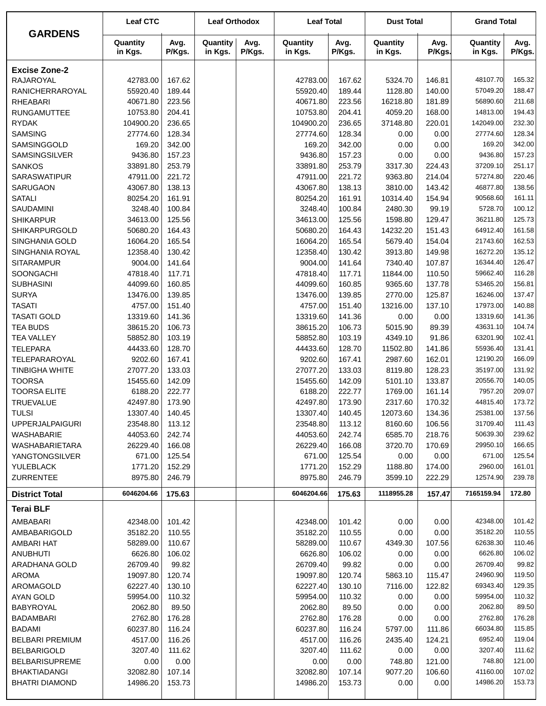| <b>GARDENS</b>                   | <b>Leaf CTC</b>      |                  | <b>Leaf Orthodox</b> |                | <b>Leaf Total</b>    |                  | <b>Dust Total</b>   |                  | <b>Grand Total</b>   |                  |
|----------------------------------|----------------------|------------------|----------------------|----------------|----------------------|------------------|---------------------|------------------|----------------------|------------------|
|                                  | Quantity<br>in Kgs.  | Avg.<br>P/Kgs.   | Quantity<br>in Kgs.  | Avg.<br>P/Kgs. | Quantity<br>in Kgs.  | Avg.<br>P/Kgs.   | Quantity<br>in Kgs. | Avg.<br>P/Kgs.   | Quantity<br>in Kgs.  | Avg.<br>P/Kgs.   |
| <b>Excise Zone-2</b>             |                      |                  |                      |                |                      |                  |                     |                  |                      |                  |
| <b>RAJAROYAL</b>                 | 42783.00             | 167.62           |                      |                | 42783.00             | 167.62           | 5324.70             | 146.81           | 48107.70             | 165.32           |
| RANICHERRAROYAL                  | 55920.40             | 189.44           |                      |                | 55920.40             | 189.44           | 1128.80             | 140.00           | 57049.20             | 188.47           |
| <b>RHEABARI</b>                  | 40671.80             | 223.56           |                      |                | 40671.80             | 223.56           | 16218.80            | 181.89           | 56890.60             | 211.68           |
| <b>RUNGAMUTTEE</b>               | 10753.80             | 204.41           |                      |                | 10753.80             | 204.41           | 4059.20             | 168.00           | 14813.00             | 194.43           |
| <b>RYDAK</b>                     | 104900.20            | 236.65           |                      |                | 104900.20            | 236.65           | 37148.80            | 220.01           | 142049.00            | 232.30           |
| <b>SAMSING</b>                   | 27774.60             | 128.34           |                      |                | 27774.60             | 128.34           | 0.00                | 0.00             | 27774.60             | 128.34           |
| SAMSINGGOLD                      | 169.20               | 342.00           |                      |                | 169.20               | 342.00           | 0.00                | 0.00             | 169.20               | 342.00           |
| <b>SAMSINGSILVER</b>             | 9436.80              | 157.23           |                      |                | 9436.80              | 157.23           | 0.00                | 0.00             | 9436.80              | 157.23<br>251.17 |
| <b>SANKOS</b><br>SARASWATIPUR    | 33891.80<br>47911.00 | 253.79<br>221.72 |                      |                | 33891.80<br>47911.00 | 253.79<br>221.72 | 3317.30<br>9363.80  | 224.43<br>214.04 | 37209.10<br>57274.80 | 220.46           |
| SARUGAON                         | 43067.80             | 138.13           |                      |                | 43067.80             | 138.13           | 3810.00             | 143.42           | 46877.80             | 138.56           |
| <b>SATALI</b>                    | 80254.20             | 161.91           |                      |                | 80254.20             | 161.91           | 10314.40            | 154.94           | 90568.60             | 161.11           |
| SAUDAMINI                        | 3248.40              | 100.84           |                      |                | 3248.40              | 100.84           | 2480.30             | 99.19            | 5728.70              | 100.12           |
| <b>SHIKARPUR</b>                 | 34613.00             | 125.56           |                      |                | 34613.00             | 125.56           | 1598.80             | 129.47           | 36211.80             | 125.73           |
| <b>SHIKARPURGOLD</b>             | 50680.20             | 164.43           |                      |                | 50680.20             | 164.43           | 14232.20            | 151.43           | 64912.40             | 161.58           |
| SINGHANIA GOLD                   | 16064.20             | 165.54           |                      |                | 16064.20             | 165.54           | 5679.40             | 154.04           | 21743.60             | 162.53           |
| SINGHANIA ROYAL                  | 12358.40             | 130.42           |                      |                | 12358.40             | 130.42           | 3913.80             | 149.98           | 16272.20             | 135.12           |
| <b>SITARAMPUR</b>                | 9004.00              | 141.64           |                      |                | 9004.00              | 141.64           | 7340.40             | 107.87           | 16344.40             | 126.47           |
| SOONGACHI                        | 47818.40             | 117.71           |                      |                | 47818.40             | 117.71           | 11844.00            | 110.50           | 59662.40             | 116.28           |
| <b>SUBHASINI</b>                 | 44099.60             | 160.85           |                      |                | 44099.60             | 160.85           | 9365.60             | 137.78           | 53465.20             | 156.81           |
| <b>SURYA</b>                     | 13476.00             | 139.85           |                      |                | 13476.00             | 139.85           | 2770.00             | 125.87           | 16246.00             | 137.47           |
| <b>TASATI</b>                    | 4757.00              | 151.40           |                      |                | 4757.00              | 151.40           | 13216.00            | 137.10           | 17973.00             | 140.88           |
| <b>TASATI GOLD</b>               | 13319.60             | 141.36           |                      |                | 13319.60             | 141.36           | 0.00                | 0.00             | 13319.60             | 141.36           |
| <b>TEA BUDS</b>                  | 38615.20             | 106.73           |                      |                | 38615.20             | 106.73           | 5015.90             | 89.39            | 43631.10             | 104.74           |
| <b>TEA VALLEY</b>                | 58852.80             | 103.19           |                      |                | 58852.80             | 103.19           | 4349.10             | 91.86            | 63201.90<br>55936.40 | 102.41           |
| <b>TELEPARA</b><br>TELEPARAROYAL | 44433.60<br>9202.60  | 128.70<br>167.41 |                      |                | 44433.60<br>9202.60  | 128.70<br>167.41 | 11502.80<br>2987.60 | 141.86<br>162.01 | 12190.20             | 131.41<br>166.09 |
| <b>TINBIGHA WHITE</b>            | 27077.20             | 133.03           |                      |                | 27077.20             | 133.03           | 8119.80             | 128.23           | 35197.00             | 131.92           |
| <b>TOORSA</b>                    | 15455.60             | 142.09           |                      |                | 15455.60             | 142.09           | 5101.10             | 133.87           | 20556.70             | 140.05           |
| <b>TOORSA ELITE</b>              | 6188.20              | 222.77           |                      |                | 6188.20              | 222.77           | 1769.00             | 161.14           | 7957.20              | 209.07           |
| <b>TRUEVALUE</b>                 | 42497.80             | 173.90           |                      |                | 42497.80             | 173.90           | 2317.60             | 170.32           | 44815.40             | 173.72           |
| <b>TULSI</b>                     | 13307.40             | 140.45           |                      |                | 13307.40             | 140.45           | 12073.60            | 134.36           | 25381.00             | 137.56           |
| <b>UPPERJALPAIGURI</b>           | 23548.80             | 113.12           |                      |                | 23548.80             | 113.12           | 8160.60             | 106.56           | 31709.40             | 111.43           |
| WASHABARIE                       | 44053.60             | 242.74           |                      |                | 44053.60             | 242.74           | 6585.70             | 218.76           | 50639.30             | 239.62           |
| WASHABARIETARA                   | 26229.40             | 166.08           |                      |                | 26229.40             | 166.08           | 3720.70             | 170.69           | 29950.10             | 166.65           |
| YANGTONGSILVER                   | 671.00               | 125.54           |                      |                | 671.00               | 125.54           | 0.00                | 0.00             | 671.00               | 125.54           |
| YULEBLACK                        | 1771.20              | 152.29           |                      |                | 1771.20              | 152.29           | 1188.80             | 174.00           | 2960.00              | 161.01           |
| <b>ZURRENTEE</b>                 | 8975.80              | 246.79           |                      |                | 8975.80              | 246.79           | 3599.10             | 222.29           | 12574.90             | 239.78           |
| <b>District Total</b>            | 6046204.66           | 175.63           |                      |                | 6046204.66           | 175.63           | 1118955.28          | 157.47           | 7165159.94           | 172.80           |
| <b>Terai BLF</b>                 |                      |                  |                      |                |                      |                  |                     |                  |                      |                  |
| AMBABARI                         | 42348.00             | 101.42           |                      |                | 42348.00             | 101.42           | 0.00                | 0.00             | 42348.00             | 101.42           |
| AMBABARIGOLD                     | 35182.20             | 110.55           |                      |                | 35182.20             | 110.55           | 0.00                | 0.00             | 35182.20             | 110.55           |
| AMBARI HAT                       | 58289.00             | 110.67           |                      |                | 58289.00             | 110.67           | 4349.30             | 107.56           | 62638.30             | 110.46           |
| <b>ANUBHUTI</b>                  | 6626.80              | 106.02           |                      |                | 6626.80              | 106.02           | 0.00                | 0.00             | 6626.80              | 106.02           |
| ARADHANA GOLD                    | 26709.40             | 99.82            |                      |                | 26709.40<br>19097.80 | 99.82            | 0.00                | 0.00             | 26709.40<br>24960.90 | 99.82<br>119.50  |
| AROMA<br>AROMAGOLD               | 19097.80<br>62227.40 | 120.74<br>130.10 |                      |                | 62227.40             | 120.74<br>130.10 | 5863.10<br>7116.00  | 115.47<br>122.82 | 69343.40             | 129.35           |
| AYAN GOLD                        | 59954.00             | 110.32           |                      |                | 59954.00             | 110.32           | 0.00                | 0.00             | 59954.00             | 110.32           |
| BABYROYAL                        | 2062.80              | 89.50            |                      |                | 2062.80              | 89.50            | 0.00                | 0.00             | 2062.80              | 89.50            |
| <b>BADAMBARI</b>                 | 2762.80              | 176.28           |                      |                | 2762.80              | 176.28           | 0.00                | 0.00             | 2762.80              | 176.28           |
| <b>BADAMI</b>                    | 60237.80             | 116.24           |                      |                | 60237.80             | 116.24           | 5797.00             | 111.86           | 66034.80             | 115.85           |
| <b>BELBARI PREMIUM</b>           | 4517.00              | 116.26           |                      |                | 4517.00              | 116.26           | 2435.40             | 124.21           | 6952.40              | 119.04           |
| <b>BELBARIGOLD</b>               | 3207.40              | 111.62           |                      |                | 3207.40              | 111.62           | 0.00                | 0.00             | 3207.40              | 111.62           |
| <b>BELBARISUPREME</b>            | 0.00                 | 0.00             |                      |                | 0.00                 | 0.00             | 748.80              | 121.00           | 748.80               | 121.00           |
| <b>BHAKTIADANGI</b>              | 32082.80             | 107.14           |                      |                | 32082.80             | 107.14           | 9077.20             | 106.60           | 41160.00             | 107.02           |
| <b>BHATRI DIAMOND</b>            | 14986.20             | 153.73           |                      |                | 14986.20             | 153.73           | 0.00                | 0.00             | 14986.20             | 153.73           |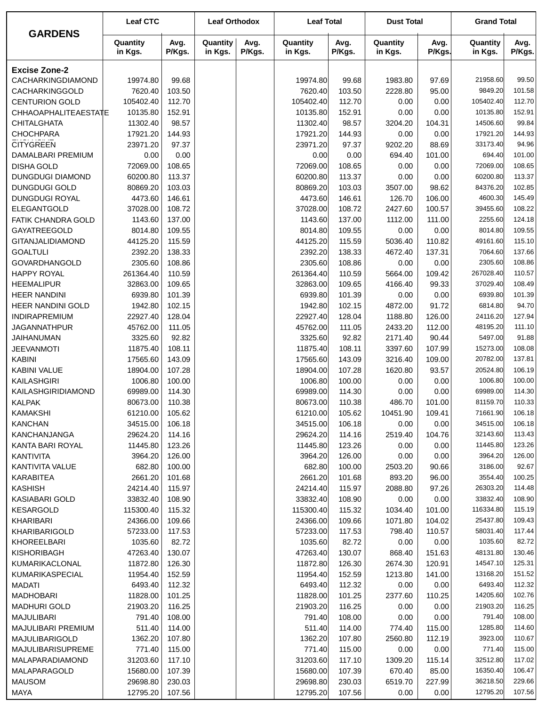|                         | <b>Leaf CTC</b>     |                | <b>Leaf Orthodox</b> |                | <b>Leaf Total</b>   |                | <b>Dust Total</b>   |                | <b>Grand Total</b>  |                |
|-------------------------|---------------------|----------------|----------------------|----------------|---------------------|----------------|---------------------|----------------|---------------------|----------------|
| <b>GARDENS</b>          | Quantity<br>in Kgs. | Avg.<br>P/Kgs. | Quantity<br>in Kgs.  | Avg.<br>P/Kgs. | Quantity<br>in Kgs. | Avg.<br>P/Kgs. | Quantity<br>in Kgs. | Avg.<br>P/Kgs. | Quantity<br>in Kgs. | Avg.<br>P/Kgs. |
| <b>Excise Zone-2</b>    |                     |                |                      |                |                     |                |                     |                |                     |                |
| CACHARKINGDIAMOND       | 19974.80            | 99.68          |                      |                | 19974.80            | 99.68          | 1983.80             | 97.69          | 21958.60            | 99.50          |
| CACHARKINGGOLD          | 7620.40             | 103.50         |                      |                | 7620.40             | 103.50         | 2228.80             | 95.00          | 9849.20             | 101.58         |
| <b>CENTURION GOLD</b>   | 105402.40           | 112.70         |                      |                | 105402.40           | 112.70         | 0.00                | 0.00           | 105402.40           | 112.70         |
| CHHAOAPHALITEAESTATE    | 10135.80            | 152.91         |                      |                | 10135.80            | 152.91         | 0.00                | 0.00           | 10135.80            | 152.91         |
| <b>CHITALGHATA</b>      | 11302.40            | 98.57          |                      |                | 11302.40            | 98.57          | 3204.20             | 104.31         | 14506.60            | 99.84          |
| <b>CHOCHPARA</b>        | 17921.20            | 144.93         |                      |                | 17921.20            | 144.93         | 0.00                | 0.00           | 17921.20            | 144.93         |
| <b>CITYGREEN</b>        | 23971.20            | 97.37          |                      |                | 23971.20            | 97.37          | 9202.20             | 88.69          | 33173.40            | 94.96          |
| DAMALBARI PREMIUM       | 0.00                | 0.00           |                      |                | 0.00                | 0.00           | 694.40              | 101.00         | 694.40              | 101.00         |
| <b>DISHA GOLD</b>       | 72069.00            | 108.65         |                      |                | 72069.00            | 108.65         | 0.00                | 0.00           | 72069.00            | 108.65         |
| <b>DUNGDUGI DIAMOND</b> | 60200.80            | 113.37         |                      |                | 60200.80            | 113.37         | 0.00                | 0.00           | 60200.80            | 113.37         |
| <b>DUNGDUGI GOLD</b>    | 80869.20            | 103.03         |                      |                | 80869.20            | 103.03         | 3507.00             | 98.62          | 84376.20            | 102.85         |
| DUNGDUGI ROYAL          | 4473.60             | 146.61         |                      |                | 4473.60             | 146.61         | 126.70              | 106.00         | 4600.30             | 145.49         |
| ELEGANTGOLD             | 37028.00            | 108.72         |                      |                | 37028.00            | 108.72         | 2427.60             | 100.57         | 39455.60            | 108.22         |
| FATIK CHANDRA GOLD      | 1143.60             | 137.00         |                      |                | 1143.60             | 137.00         | 1112.00             | 111.00         | 2255.60             | 124.18         |
| GAYATREEGOLD            | 8014.80             | 109.55         |                      |                | 8014.80             | 109.55         | 0.00                | 0.00           | 8014.80             | 109.55         |
| <b>GITANJALIDIAMOND</b> | 44125.20            | 115.59         |                      |                | 44125.20            | 115.59         | 5036.40             | 110.82         | 49161.60            | 115.10         |
| <b>GOALTULI</b>         | 2392.20             | 138.33         |                      |                | 2392.20             | 138.33         | 4672.40             | 137.31         | 7064.60             | 137.66         |
| GOVARDHANGOLD           | 2305.60             | 108.86         |                      |                | 2305.60             | 108.86         | 0.00                | 0.00           | 2305.60             | 108.86         |
| <b>HAPPY ROYAL</b>      | 261364.40           | 110.59         |                      |                | 261364.40           | 110.59         | 5664.00             | 109.42         | 267028.40           | 110.57         |
| <b>HEEMALIPUR</b>       | 32863.00            | 109.65         |                      |                | 32863.00            | 109.65         | 4166.40             | 99.33          | 37029.40            | 108.49         |
| <b>HEER NANDINI</b>     | 6939.80             | 101.39         |                      |                | 6939.80             | 101.39         | 0.00                | 0.00           | 6939.80             | 101.39         |
| HEER NANDINI GOLD       | 1942.80             | 102.15         |                      |                | 1942.80             | 102.15         | 4872.00             | 91.72          | 6814.80             | 94.70          |
| INDIRAPREMIUM           | 22927.40            | 128.04         |                      |                | 22927.40            | 128.04         | 1188.80             | 126.00         | 24116.20            | 127.94         |
| <b>JAGANNATHPUR</b>     | 45762.00            | 111.05         |                      |                | 45762.00            | 111.05         | 2433.20             | 112.00         | 48195.20            | 111.10         |
| <b>JAIHANUMAN</b>       | 3325.60             | 92.82          |                      |                | 3325.60             | 92.82          | 2171.40             | 90.44          | 5497.00             | 91.88          |
| <b>JEEVANMOTI</b>       | 11875.40            | 108.11         |                      |                | 11875.40            | 108.11         | 3397.60             | 107.99         | 15273.00            | 108.08         |
| <b>KABINI</b>           | 17565.60            | 143.09         |                      |                | 17565.60            | 143.09         | 3216.40             | 109.00         | 20782.00            | 137.81         |
| KABINI VALUE            | 18904.00            | 107.28         |                      |                | 18904.00            | 107.28         | 1620.80             | 93.57          | 20524.80            | 106.19         |
| KAILASHGIRI             | 1006.80             | 100.00         |                      |                | 1006.80             | 100.00         | 0.00                | 0.00           | 1006.80             | 100.00         |
| KAILASHGIRIDIAMOND      | 69989.00            | 114.30         |                      |                | 69989.00            | 114.30         | 0.00                | 0.00           | 69989.00            | 114.30         |
| <b>KALPAK</b>           | 80673.00            | 110.38         |                      |                | 80673.00            | 110.38         | 486.70              | 101.00         | 81159.70            | 110.33         |
| <b>KAMAKSHI</b>         | 61210.00            | 105.62         |                      |                | 61210.00            | 105.62         | 10451.90            | 109.41         | 71661.90            | 106.18         |
| <b>KANCHAN</b>          | 34515.00            | 106.18         |                      |                | 34515.00            | 106.18         | 0.00                | 0.00           | 34515.00            | 106.18         |
| KANCHANJANGA            | 29624.20            | 114.16         |                      |                | 29624.20            | 114.16         | 2519.40             | 104.76         | 32143.60            | 113.43         |
| KANTA BARI ROYAL        | 11445.80            | 123.26         |                      |                | 11445.80            | 123.26         | 0.00                | 0.00           | 11445.80            | 123.26         |
| KANTIVITA               | 3964.20             | 126.00         |                      |                | 3964.20             | 126.00         | 0.00                | 0.00           | 3964.20             | 126.00         |
| KANTIVITA VALUE         | 682.80              | 100.00         |                      |                | 682.80              | 100.00         | 2503.20             | 90.66          | 3186.00             | 92.67          |
| KARABITEA               | 2661.20             | 101.68         |                      |                | 2661.20             | 101.68         | 893.20              | 96.00          | 3554.40             | 100.25         |
| <b>KASHISH</b>          | 24214.40            | 115.97         |                      |                | 24214.40            | 115.97         | 2088.80             | 97.26          | 26303.20            | 114.48         |
| <b>KASIABARI GOLD</b>   | 33832.40            | 108.90         |                      |                | 33832.40            | 108.90         | 0.00                | 0.00           | 33832.40            | 108.90         |
| <b>KESARGOLD</b>        | 115300.40           | 115.32         |                      |                | 115300.40           | 115.32         | 1034.40             | 101.00         | 116334.80           | 115.19         |
| KHARIBARI               | 24366.00            | 109.66         |                      |                | 24366.00            | 109.66         | 1071.80             | 104.02         | 25437.80            | 109.43         |
| KHARIBARIGOLD           | 57233.00            | 117.53         |                      |                | 57233.00            | 117.53         | 798.40              | 110.57         | 58031.40            | 117.44         |
| KHOREELBARI             | 1035.60             | 82.72          |                      |                | 1035.60             | 82.72          | 0.00                | 0.00           | 1035.60             | 82.72          |
| KISHORIBAGH             | 47263.40            | 130.07         |                      |                | 47263.40            | 130.07         | 868.40              | 151.63         | 48131.80            | 130.46         |
| KUMARIKACLONAL          | 11872.80            | 126.30         |                      |                | 11872.80            | 126.30         | 2674.30             | 120.91         | 14547.10            | 125.31         |
| KUMARIKASPECIAL         | 11954.40            | 152.59         |                      |                | 11954.40            | 152.59         | 1213.80             | 141.00         | 13168.20            | 151.52         |
| MADATI                  | 6493.40             | 112.32         |                      |                | 6493.40             | 112.32         | 0.00                | 0.00           | 6493.40             | 112.32         |
| <b>MADHOBARI</b>        | 11828.00            | 101.25         |                      |                | 11828.00            | 101.25         | 2377.60             | 110.25         | 14205.60            | 102.76         |
| <b>MADHURI GOLD</b>     | 21903.20            | 116.25         |                      |                | 21903.20            | 116.25         | 0.00                | 0.00           | 21903.20            | 116.25         |
| <b>MAJULIBARI</b>       | 791.40              | 108.00         |                      |                | 791.40              | 108.00         | 0.00                | 0.00           | 791.40              | 108.00         |
| MAJULIBARI PREMIUM      | 511.40              | 114.00         |                      |                | 511.40              | 114.00         | 774.40              | 115.00         | 1285.80             | 114.60         |
| MAJULIBARIGOLD          | 1362.20             | 107.80         |                      |                | 1362.20             | 107.80         | 2560.80             | 112.19         | 3923.00             | 110.67         |
| MAJULIBARISUPREME       | 771.40              | 115.00         |                      |                | 771.40              | 115.00         | 0.00                | 0.00           | 771.40              | 115.00         |
| MALAPARADIAMOND         | 31203.60            | 117.10         |                      |                | 31203.60            | 117.10         | 1309.20             | 115.14         | 32512.80            | 117.02         |
| MALAPARAGOLD            | 15680.00            | 107.39         |                      |                | 15680.00            | 107.39         | 670.40              | 85.00          | 16350.40            | 106.47         |
| <b>MAUSOM</b>           | 29698.80            | 230.03         |                      |                | 29698.80            | 230.03         | 6519.70             | 227.99         | 36218.50            | 229.66         |
| <b>MAYA</b>             | 12795.20            | 107.56         |                      |                | 12795.20            | 107.56         | 0.00                | 0.00           | 12795.20            | 107.56         |
|                         |                     |                |                      |                |                     |                |                     |                |                     |                |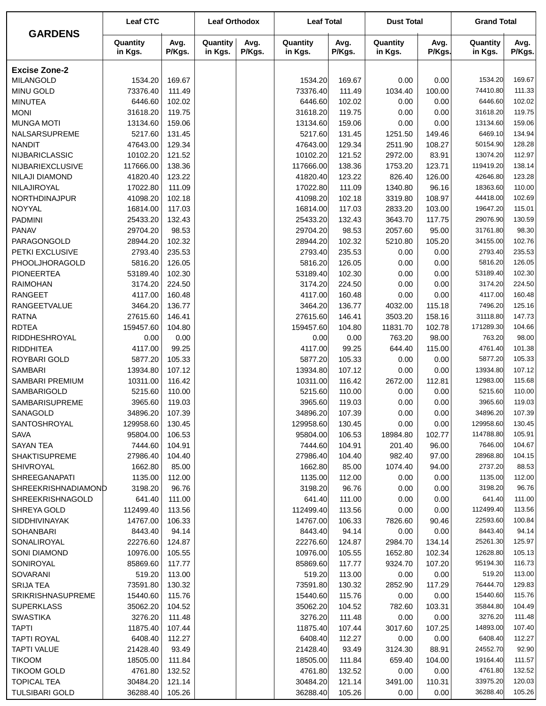|                              | <b>Leaf CTC</b>     |                  | <b>Leaf Orthodox</b> |                | <b>Leaf Total</b>   |                | <b>Dust Total</b>   |                 | <b>Grand Total</b>  |                  |
|------------------------------|---------------------|------------------|----------------------|----------------|---------------------|----------------|---------------------|-----------------|---------------------|------------------|
| <b>GARDENS</b>               | Quantity<br>in Kgs. | Avg.<br>P/Kgs.   | Quantity<br>in Kgs.  | Avg.<br>P/Kgs. | Quantity<br>in Kgs. | Avg.<br>P/Kgs. | Quantity<br>in Kgs. | Avg.<br>P/Kgs.  | Quantity<br>in Kgs. | Avg.<br>P/Kgs.   |
| <b>Excise Zone-2</b>         |                     |                  |                      |                |                     |                |                     |                 |                     |                  |
| <b>MILANGOLD</b>             | 1534.20             | 169.67           |                      |                | 1534.20             | 169.67         | 0.00                | 0.00            | 1534.20             | 169.67           |
| <b>MINU GOLD</b>             | 73376.40            | 111.49           |                      |                | 73376.40            | 111.49         | 1034.40             | 100.00          | 74410.80            | 111.33           |
| <b>MINUTEA</b>               | 6446.60             | 102.02           |                      |                | 6446.60             | 102.02         | 0.00                | 0.00            | 6446.60             | 102.02           |
| <b>MONI</b>                  | 31618.20            | 119.75           |                      |                | 31618.20            | 119.75         | 0.00                | 0.00            | 31618.20            | 119.75           |
| <b>MUNGA MOTI</b>            | 13134.60            | 159.06           |                      |                | 13134.60            | 159.06         | 0.00                | 0.00            | 13134.60            | 159.06           |
| NALSARSUPREME                | 5217.60             | 131.45           |                      |                | 5217.60             | 131.45         | 1251.50             | 149.46          | 6469.10             | 134.94           |
| <b>NANDIT</b>                | 47643.00            | 129.34           |                      |                | 47643.00            | 129.34         | 2511.90             | 108.27          | 50154.90            | 128.28           |
| NIJBARICLASSIC               | 10102.20            | 121.52           |                      |                | 10102.20            | 121.52         | 2972.00             | 83.91           | 13074.20            | 112.97           |
| NIJBARIEXCLUSIVE             | 117666.00           | 138.36           |                      |                | 117666.00           | 138.36         | 1753.20             | 123.71          | 119419.20           | 138.14           |
| <b>NILAJI DIAMOND</b>        | 41820.40            | 123.22           |                      |                | 41820.40            | 123.22         | 826.40              | 126.00          | 42646.80            | 123.28           |
| NILAJIROYAL                  | 17022.80            | 111.09           |                      |                | 17022.80            | 111.09         | 1340.80             | 96.16           | 18363.60            | 110.00           |
| NORTHDINAJPUR                | 41098.20            | 102.18           |                      |                | 41098.20            | 102.18         | 3319.80             | 108.97          | 44418.00            | 102.69           |
| NOYYAL                       | 16814.00            | 117.03           |                      |                | 16814.00            | 117.03         | 2833.20             | 103.00          | 19647.20            | 115.01           |
| <b>PADMINI</b>               | 25433.20            | 132.43           |                      |                | 25433.20            | 132.43         | 3643.70             | 117.75          | 29076.90            | 130.59           |
| <b>PANAV</b>                 | 29704.20            | 98.53            |                      |                | 29704.20            | 98.53          | 2057.60             | 95.00           | 31761.80            | 98.30            |
| PARAGONGOLD                  | 28944.20            | 102.32           |                      |                | 28944.20            | 102.32         | 5210.80             | 105.20          | 34155.00            | 102.76           |
| PETKI EXCLUSIVE              | 2793.40             | 235.53           |                      |                | 2793.40             | 235.53         | 0.00                | 0.00            | 2793.40             | 235.53           |
| PHOOLJHORAGOLD               | 5816.20             | 126.05           |                      |                | 5816.20             | 126.05         | 0.00                | 0.00            | 5816.20             | 126.05           |
| <b>PIONEERTEA</b>            | 53189.40            | 102.30           |                      |                | 53189.40            | 102.30         | 0.00                | 0.00            | 53189.40            | 102.30           |
| <b>RAIMOHAN</b>              | 3174.20             | 224.50           |                      |                | 3174.20             | 224.50         | 0.00                | 0.00            | 3174.20             | 224.50           |
| <b>RANGEET</b>               | 4117.00             | 160.48<br>136.77 |                      |                | 4117.00             | 160.48         | 0.00                | 0.00            | 4117.00<br>7496.20  | 160.48<br>125.16 |
| <b>RANGEETVALUE</b>          | 3464.20             | 146.41           |                      |                | 3464.20             | 136.77         | 4032.00             | 115.18          | 31118.80            | 147.73           |
| <b>RATNA</b><br><b>RDTEA</b> | 27615.60            |                  |                      |                | 27615.60            | 146.41         | 3503.20             | 158.16          | 171289.30           | 104.66           |
| RIDDHESHROYAL                | 159457.60<br>0.00   | 104.80<br>0.00   |                      |                | 159457.60           | 104.80<br>0.00 | 11831.70<br>763.20  | 102.78<br>98.00 | 763.20              | 98.00            |
| <b>RIDDHITEA</b>             | 4117.00             | 99.25            |                      |                | 0.00<br>4117.00     | 99.25          | 644.40              | 115.00          | 4761.40             | 101.38           |
| ROYBARI GOLD                 | 5877.20             | 105.33           |                      |                | 5877.20             | 105.33         | 0.00                | 0.00            | 5877.20             | 105.33           |
| <b>SAMBARI</b>               | 13934.80            | 107.12           |                      |                | 13934.80            | 107.12         | 0.00                | 0.00            | 13934.80            | 107.12           |
| SAMBARI PREMIUM              | 10311.00            | 116.42           |                      |                | 10311.00            | 116.42         | 2672.00             | 112.81          | 12983.00            | 115.68           |
| SAMBARIGOLD                  | 5215.60             | 110.00           |                      |                | 5215.60             | 110.00         | 0.00                | 0.00            | 5215.60             | 110.00           |
| SAMBARISUPREME               | 3965.60             | 119.03           |                      |                | 3965.60             | 119.03         | 0.00                | 0.00            | 3965.60             | 119.03           |
| SANAGOLD                     | 34896.20            | 107.39           |                      |                | 34896.20            | 107.39         | 0.00                | 0.00            | 34896.20            | 107.39           |
| SANTOSHROYAL                 | 129958.60           | 130.45           |                      |                | 129958.60           | 130.45         | 0.00                | 0.00            | 129958.60           | 130.45           |
| <b>SAVA</b>                  | 95804.00            | 106.53           |                      |                | 95804.00            | 106.53         | 18984.80            | 102.77          | 114788.80           | 105.91           |
| <b>SAYAN TEA</b>             | 7444.60             | 104.91           |                      |                | 7444.60             | 104.91         | 201.40              | 96.00           | 7646.00             | 104.67           |
| <b>SHAKTISUPREME</b>         | 27986.40            | 104.40           |                      |                | 27986.40            | 104.40         | 982.40              | 97.00           | 28968.80            | 104.15           |
| SHIVROYAL                    | 1662.80             | 85.00            |                      |                | 1662.80             | 85.00          | 1074.40             | 94.00           | 2737.20             | 88.53            |
| <b>SHREEGANAPATI</b>         | 1135.00             | 112.00           |                      |                | 1135.00             | 112.00         | 0.00                | 0.00            | 1135.00             | 112.00           |
| <b>SHREEKRISHNADIAMOND</b>   | 3198.20             | 96.76            |                      |                | 3198.20             | 96.76          | 0.00                | 0.00            | 3198.20             | 96.76            |
| <b>SHREEKRISHNAGOLD</b>      | 641.40              | 111.00           |                      |                | 641.40              | 111.00         | 0.00                | 0.00            | 641.40              | 111.00           |
| SHREYA GOLD                  | 112499.40           | 113.56           |                      |                | 112499.40           | 113.56         | 0.00                | 0.00            | 112499.40           | 113.56           |
| <b>SIDDHIVINAYAK</b>         | 14767.00            | 106.33           |                      |                | 14767.00            | 106.33         | 7826.60             | 90.46           | 22593.60            | 100.84           |
| <b>SOHANBARI</b>             | 8443.40             | 94.14            |                      |                | 8443.40             | 94.14          | 0.00                | 0.00            | 8443.40             | 94.14            |
| SONALIROYAL                  | 22276.60            | 124.87           |                      |                | 22276.60            | 124.87         | 2984.70             | 134.14          | 25261.30            | 125.97           |
| SONI DIAMOND                 | 10976.00            | 105.55           |                      |                | 10976.00            | 105.55         | 1652.80             | 102.34          | 12628.80            | 105.13           |
| SONIROYAL                    | 85869.60            | 117.77           |                      |                | 85869.60            | 117.77         | 9324.70             | 107.20          | 95194.30            | 116.73           |
| SOVARANI                     | 519.20              | 113.00           |                      |                | 519.20              | 113.00         | 0.00                | 0.00            | 519.20              | 113.00           |
| <b>SRIJA TEA</b>             | 73591.80            | 130.32           |                      |                | 73591.80            | 130.32         | 2852.90             | 117.29          | 76444.70            | 129.83           |
| <b>SRIKRISHNASUPREME</b>     | 15440.60            | 115.76           |                      |                | 15440.60            | 115.76         | 0.00                | 0.00            | 15440.60            | 115.76           |
| <b>SUPERKLASS</b>            | 35062.20            | 104.52           |                      |                | 35062.20            | 104.52         | 782.60              | 103.31          | 35844.80            | 104.49           |
| <b>SWASTIKA</b>              | 3276.20             | 111.48           |                      |                | 3276.20             | 111.48         | 0.00                | 0.00            | 3276.20             | 111.48           |
| <b>TAPTI</b>                 | 11875.40            | 107.44           |                      |                | 11875.40            | 107.44         | 3017.60             | 107.25          | 14893.00            | 107.40           |
| <b>TAPTI ROYAL</b>           | 6408.40             | 112.27           |                      |                | 6408.40             | 112.27         | 0.00                | 0.00            | 6408.40             | 112.27           |
| <b>TAPTI VALUE</b>           | 21428.40            | 93.49            |                      |                | 21428.40            | 93.49          | 3124.30             | 88.91           | 24552.70            | 92.90            |
| <b>TIKOOM</b>                | 18505.00            | 111.84           |                      |                | 18505.00            | 111.84         | 659.40              | 104.00          | 19164.40            | 111.57           |
| <b>TIKOOM GOLD</b>           | 4761.80             | 132.52           |                      |                | 4761.80             | 132.52         | 0.00                | 0.00            | 4761.80             | 132.52           |
| <b>TOPICAL TEA</b>           | 30484.20            | 121.14           |                      |                | 30484.20            | 121.14         | 3491.00             | 110.31          | 33975.20            | 120.03           |
| <b>TULSIBARI GOLD</b>        | 36288.40            | 105.26           |                      |                | 36288.40            | 105.26         | 0.00                | 0.00            | 36288.40            | 105.26           |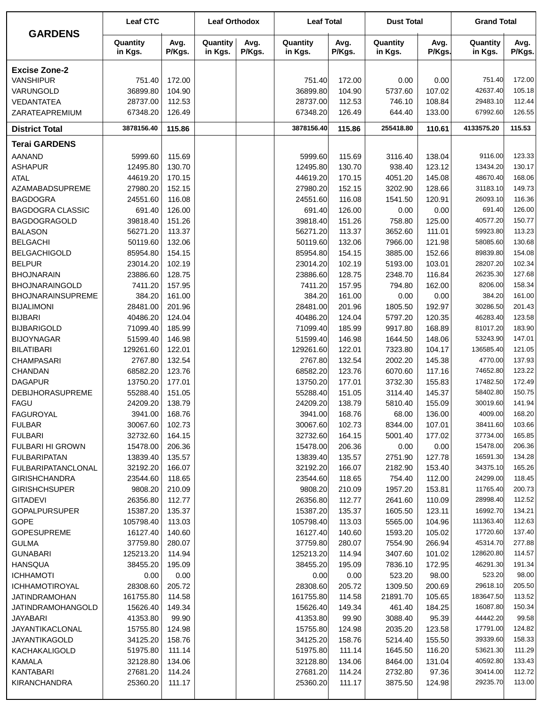| <b>GARDENS</b>                          | <b>Leaf CTC</b>      |                  | <b>Leaf Orthodox</b> |                | <b>Leaf Total</b>    |                  | <b>Dust Total</b>   |                  | <b>Grand Total</b>   |                  |
|-----------------------------------------|----------------------|------------------|----------------------|----------------|----------------------|------------------|---------------------|------------------|----------------------|------------------|
|                                         | Quantity<br>in Kgs.  | Avg.<br>P/Kgs.   | Quantity<br>in Kgs.  | Avg.<br>P/Kgs. | Quantity<br>in Kgs.  | Avg.<br>P/Kgs.   | Quantity<br>in Kgs. | Avg.<br>P/Kgs.   | Quantity<br>in Kgs.  | Avg.<br>P/Kgs.   |
| <b>Excise Zone-2</b>                    |                      |                  |                      |                |                      |                  |                     |                  |                      |                  |
| <b>VANSHIPUR</b>                        | 751.40               | 172.00           |                      |                | 751.40               | 172.00           | 0.00                | 0.00             | 751.40               | 172.00           |
| VARUNGOLD                               | 36899.80             | 104.90           |                      |                | 36899.80             | 104.90           | 5737.60             | 107.02           | 42637.40             | 105.18           |
| VEDANTATEA                              | 28737.00             | 112.53           |                      |                | 28737.00             | 112.53           | 746.10              | 108.84           | 29483.10             | 112.44           |
| ZARATEAPREMIUM                          | 67348.20             | 126.49           |                      |                | 67348.20             | 126.49           | 644.40              | 133.00           | 67992.60             | 126.55           |
| <b>District Total</b>                   | 3878156.40           | 115.86           |                      |                | 3878156.40           | 115.86           | 255418.80           | 110.61           | 4133575.20           | 115.53           |
| <b>Terai GARDENS</b>                    |                      |                  |                      |                |                      |                  |                     |                  |                      |                  |
| <b>AANAND</b>                           | 5999.60              | 115.69           |                      |                | 5999.60              | 115.69           | 3116.40             | 138.04           | 9116.00              | 123.33           |
| <b>ASHAPUR</b>                          | 12495.80             | 130.70           |                      |                | 12495.80             | 130.70           | 938.40              | 123.12           | 13434.20             | 130.17           |
| <b>ATAL</b>                             | 44619.20             | 170.15           |                      |                | 44619.20             | 170.15           | 4051.20             | 145.08           | 48670.40             | 168.06           |
| AZAMABADSUPREME                         | 27980.20             | 152.15           |                      |                | 27980.20             | 152.15           | 3202.90             | 128.66           | 31183.10             | 149.73           |
| <b>BAGDOGRA</b>                         | 24551.60             | 116.08           |                      |                | 24551.60             | 116.08           | 1541.50             | 120.91           | 26093.10             | 116.36           |
| <b>BAGDOGRA CLASSIC</b>                 | 691.40               | 126.00           |                      |                | 691.40               | 126.00           | 0.00                | 0.00             | 691.40               | 126.00           |
| <b>BAGDOGRAGOLD</b>                     | 39818.40             | 151.26           |                      |                | 39818.40             | 151.26           | 758.80              | 125.00           | 40577.20             | 150.77           |
| <b>BALASON</b>                          | 56271.20             | 113.37           |                      |                | 56271.20             | 113.37           | 3652.60             | 111.01           | 59923.80             | 113.23           |
| <b>BELGACHI</b>                         | 50119.60             | 132.06           |                      |                | 50119.60             | 132.06           | 7966.00             | 121.98           | 58085.60             | 130.68           |
| <b>BELGACHIGOLD</b>                     | 85954.80             | 154.15           |                      |                | 85954.80             | 154.15           | 3885.00             | 152.66           | 89839.80             | 154.08           |
| <b>BELPUR</b>                           | 23014.20             | 102.19           |                      |                | 23014.20             | 102.19           | 5193.00             | 103.01           | 28207.20             | 102.34           |
| <b>BHOJNARAIN</b>                       | 23886.60             | 128.75           |                      |                | 23886.60             | 128.75           | 2348.70             | 116.84           | 26235.30             | 127.68           |
| <b>BHOJNARAINGOLD</b>                   | 7411.20              | 157.95           |                      |                | 7411.20              | 157.95           | 794.80              | 162.00           | 8206.00              | 158.34           |
| <b>BHOJNARAINSUPREME</b>                | 384.20               | 161.00           |                      |                | 384.20               | 161.00           | 0.00                | 0.00             | 384.20               | 161.00           |
| <b>BIJALIMONI</b>                       | 28481.00             | 201.96           |                      |                | 28481.00             | 201.96           | 1805.50             | 192.97           | 30286.50             | 201.43           |
| <b>BIJBARI</b>                          | 40486.20             | 124.04           |                      |                | 40486.20             | 124.04           | 5797.20             | 120.35           | 46283.40<br>81017.20 | 123.58<br>183.90 |
| <b>BIJBARIGOLD</b><br><b>BIJOYNAGAR</b> | 71099.40<br>51599.40 | 185.99<br>146.98 |                      |                | 71099.40<br>51599.40 | 185.99<br>146.98 | 9917.80<br>1644.50  | 168.89<br>148.06 | 53243.90             | 147.01           |
| <b>BILATIBARI</b>                       | 129261.60            | 122.01           |                      |                | 129261.60            | 122.01           | 7323.80             | 104.17           | 136585.40            | 121.05           |
| <b>CHAMPASARI</b>                       | 2767.80              | 132.54           |                      |                | 2767.80              | 132.54           | 2002.20             | 145.38           | 4770.00              | 137.93           |
| <b>CHANDAN</b>                          | 68582.20             | 123.76           |                      |                | 68582.20             | 123.76           | 6070.60             | 117.16           | 74652.80             | 123.22           |
| <b>DAGAPUR</b>                          | 13750.20             | 177.01           |                      |                | 13750.20             | 177.01           | 3732.30             | 155.83           | 17482.50             | 172.49           |
| <b>DEBIJHORASUPREME</b>                 | 55288.40             | 151.05           |                      |                | 55288.40             | 151.05           | 3114.40             | 145.37           | 58402.80             | 150.75           |
| <b>FAGU</b>                             | 24209.20             | 138.79           |                      |                | 24209.20             | 138.79           | 5810.40             | 155.09           | 30019.60             | 141.94           |
| <b>FAGUROYAL</b>                        | 3941.00              | 168.76           |                      |                | 3941.00              | 168.76           | 68.00               | 136.00           | 4009.00              | 168.20           |
| <b>FULBAR</b>                           | 30067.60             | 102.73           |                      |                | 30067.60             | 102.73           | 8344.00             | 107.01           | 38411.60             | 103.66           |
| <b>FULBARI</b>                          | 32732.60             | 164.15           |                      |                | 32732.60             | 164.15           | 5001.40             | 177.02           | 37734.00             | 165.85           |
| FULBARI HI GROWN                        | 15478.00             | 206.36           |                      |                | 15478.00             | 206.36           | 0.00                | 0.00             | 15478.00             | 206.36           |
| <b>FULBARIPATAN</b>                     | 13839.40             | 135.57           |                      |                | 13839.40             | 135.57           | 2751.90             | 127.78           | 16591.30             | 134.28           |
| <b>FULBARIPATANCLONAL</b>               | 32192.20             | 166.07           |                      |                | 32192.20             | 166.07           | 2182.90             | 153.40           | 34375.10             | 165.26           |
| <b>GIRISHCHANDRA</b>                    | 23544.60             | 118.65           |                      |                | 23544.60             | 118.65           | 754.40              | 112.00           | 24299.00             | 118.45           |
| <b>GIRISHCHSUPER</b>                    | 9808.20              | 210.09           |                      |                | 9808.20              | 210.09           | 1957.20             | 153.81           | 11765.40             | 200.73           |
| <b>GITADEVI</b>                         | 26356.80             | 112.77           |                      |                | 26356.80             | 112.77           | 2641.60             | 110.09           | 28998.40             | 112.52           |
| <b>GOPALPURSUPER</b>                    | 15387.20             | 135.37           |                      |                | 15387.20             | 135.37           | 1605.50             | 123.11           | 16992.70             | 134.21           |
| <b>GOPE</b>                             | 105798.40            | 113.03           |                      |                | 105798.40            | 113.03           | 5565.00             | 104.96           | 111363.40            | 112.63           |
| <b>GOPESUPREME</b>                      | 16127.40             | 140.60           |                      |                | 16127.40             | 140.60           | 1593.20             | 105.02           | 17720.60             | 137.40           |
| <b>GULMA</b>                            | 37759.80             | 280.07           |                      |                | 37759.80             | 280.07           | 7554.90             | 266.94           | 45314.70             | 277.88           |
| <b>GUNABARI</b>                         | 125213.20            | 114.94           |                      |                | 125213.20            | 114.94           | 3407.60             | 101.02           | 128620.80            | 114.57           |
| <b>HANSQUA</b>                          | 38455.20             | 195.09           |                      |                | 38455.20             | 195.09           | 7836.10             | 172.95           | 46291.30             | 191.34           |
| <b>ICHHAMOTI</b>                        | 0.00                 | 0.00             |                      |                | 0.00                 | 0.00             | 523.20              | 98.00            | 523.20               | 98.00            |
| <b>ICHHAMOTIROYAL</b>                   | 28308.60             | 205.72           |                      |                | 28308.60             | 205.72           | 1309.50             | 200.69           | 29618.10             | 205.50           |
| JATINDRAMOHAN                           | 161755.80            | 114.58           |                      |                | 161755.80            | 114.58           | 21891.70            | 105.65           | 183647.50            | 113.52           |
| JATINDRAMOHANGOLD                       | 15626.40             | 149.34           |                      |                | 15626.40             | 149.34           | 461.40              | 184.25           | 16087.80             | 150.34           |
| JAYABARI                                | 41353.80             | 99.90            |                      |                | 41353.80             | 99.90            | 3088.40             | 95.39            | 44442.20             | 99.58            |
| JAYANTIKACLONAL                         | 15755.80             | 124.98           |                      |                | 15755.80             | 124.98           | 2035.20             | 123.58           | 17791.00             | 124.82           |
| <b>JAYANTIKAGOLD</b>                    | 34125.20             | 158.76           |                      |                | 34125.20             | 158.76           | 5214.40             | 155.50           | 39339.60             | 158.33           |
| KACHAKALIGOLD                           | 51975.80             | 111.14           |                      |                | 51975.80             | 111.14           | 1645.50             | 116.20           | 53621.30             | 111.29           |
| KAMALA                                  | 32128.80             | 134.06           |                      |                | 32128.80             | 134.06           | 8464.00             | 131.04           | 40592.80             | 133.43           |
| KANTABARI                               | 27681.20             | 114.24           |                      |                | 27681.20             | 114.24           | 2732.80             | 97.36            | 30414.00             | 112.72           |
| <b>KIRANCHANDRA</b>                     | 25360.20             | 111.17           |                      |                | 25360.20             | 111.17           | 3875.50             | 124.98           | 29235.70             | 113.00           |
|                                         |                      |                  |                      |                |                      |                  |                     |                  |                      |                  |